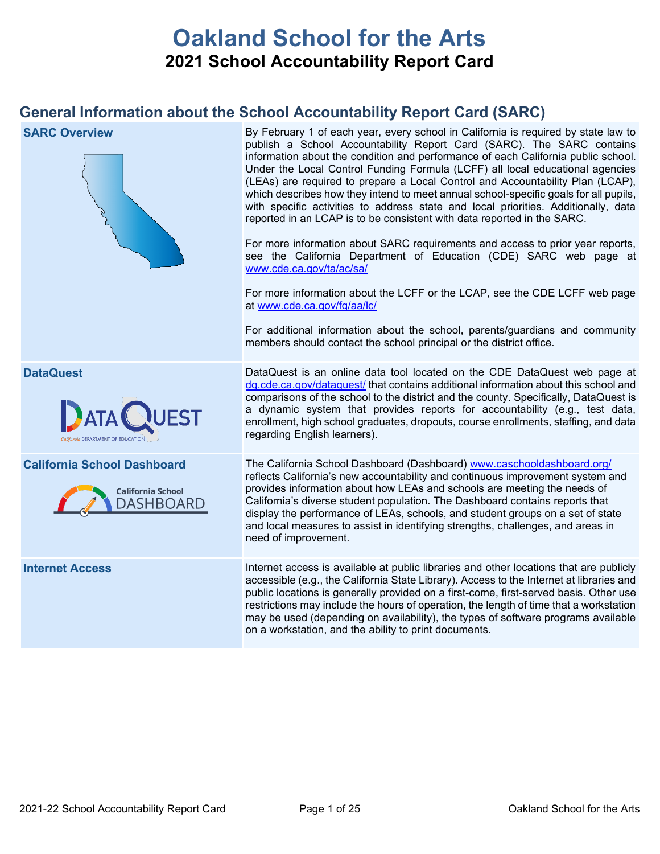# **Oakland School for the Arts 2021 School Accountability Report Card**

## **General Information about the School Accountability Report Card (SARC)**

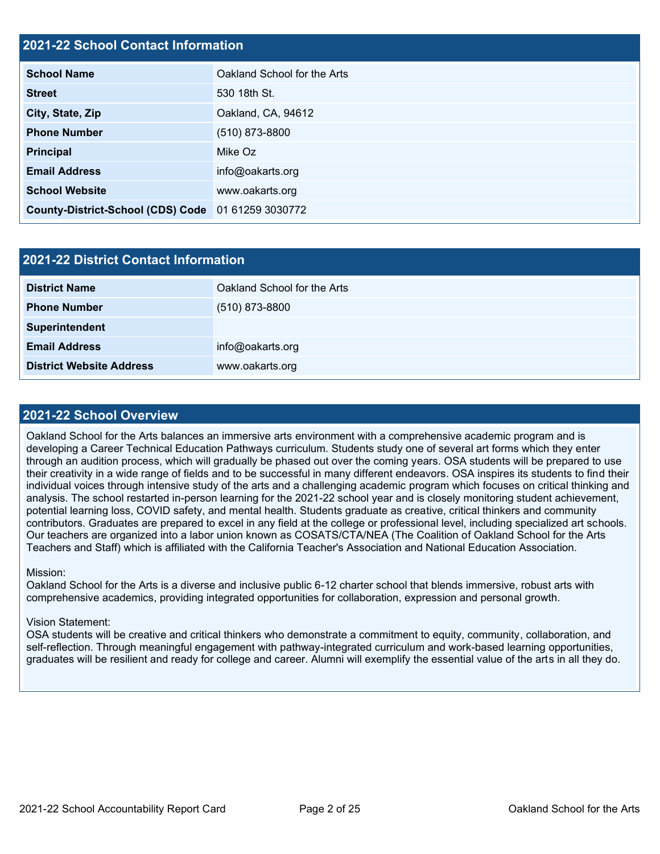### **2021-22 School Contact Information**

| <b>School Name</b>                                 | Oakland School for the Arts |  |  |  |
|----------------------------------------------------|-----------------------------|--|--|--|
| <b>Street</b>                                      | 530 18th St.                |  |  |  |
| City, State, Zip                                   | Oakland, CA, 94612          |  |  |  |
| <b>Phone Number</b>                                | $(510)$ 873-8800            |  |  |  |
| <b>Principal</b>                                   | Mike Oz                     |  |  |  |
| <b>Email Address</b>                               | info@oakarts.org            |  |  |  |
| <b>School Website</b>                              | www.oakarts.org             |  |  |  |
| County-District-School (CDS) Code 01 61259 3030772 |                             |  |  |  |

| <b>2021-22 District Contact Information</b> |                             |  |  |
|---------------------------------------------|-----------------------------|--|--|
| <b>District Name</b>                        | Oakland School for the Arts |  |  |
| <b>Phone Number</b>                         | $(510)$ 873-8800            |  |  |
| Superintendent                              |                             |  |  |
| <b>Email Address</b>                        | info@oakarts.org            |  |  |
| <b>District Website Address</b>             | www.oakarts.org             |  |  |

### **2021-22 School Overview**

Oakland School for the Arts balances an immersive arts environment with a comprehensive academic program and is developing a Career Technical Education Pathways curriculum. Students study one of several art forms which they enter through an audition process, which will gradually be phased out over the coming years. OSA students will be prepared to use their creativity in a wide range of fields and to be successful in many different endeavors. OSA inspires its students to find their individual voices through intensive study of the arts and a challenging academic program which focuses on critical thinking and analysis. The school restarted in-person learning for the 2021-22 school year and is closely monitoring student achievement, potential learning loss, COVID safety, and mental health. Students graduate as creative, critical thinkers and community contributors. Graduates are prepared to excel in any field at the college or professional level, including specialized art schools. Our teachers are organized into a labor union known as COSATS/CTA/NEA (The Coalition of Oakland School for the Arts Teachers and Staff) which is affiliated with the California Teacher's Association and National Education Association.

#### Mission:

Oakland School for the Arts is a diverse and inclusive public 6-12 charter school that blends immersive, robust arts with comprehensive academics, providing integrated opportunities for collaboration, expression and personal growth.

#### Vision Statement:

OSA students will be creative and critical thinkers who demonstrate a commitment to equity, community, collaboration, and self-reflection. Through meaningful engagement with pathway-integrated curriculum and work-based learning opportunities, graduates will be resilient and ready for college and career. Alumni will exemplify the essential value of the arts in all they do.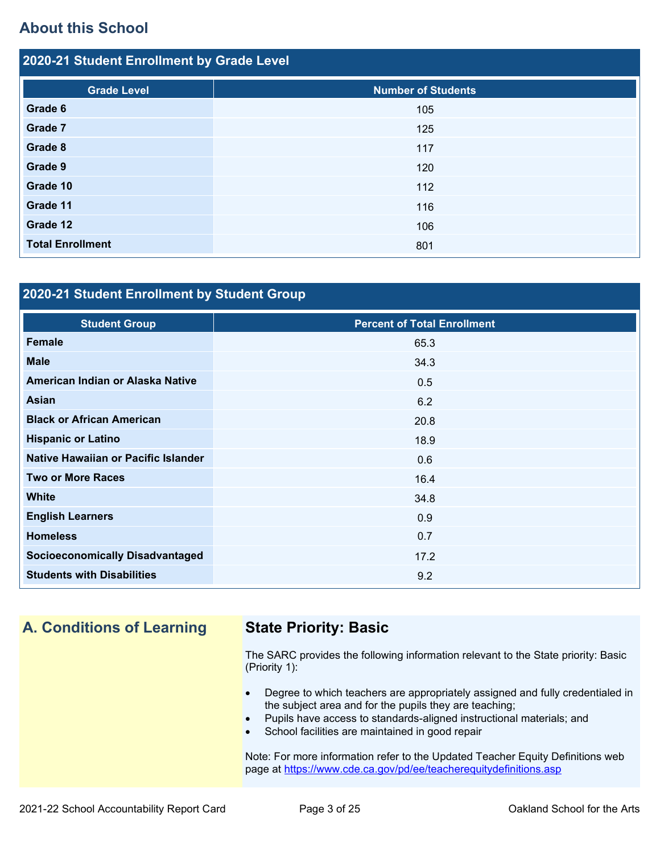## **About this School**

| 2020-21 Student Enrollment by Grade Level |                           |  |  |  |
|-------------------------------------------|---------------------------|--|--|--|
| <b>Grade Level</b>                        | <b>Number of Students</b> |  |  |  |
| Grade 6                                   | 105                       |  |  |  |
| Grade 7                                   | 125                       |  |  |  |
| Grade 8                                   | 117                       |  |  |  |
| Grade 9                                   | 120                       |  |  |  |
| Grade 10                                  | 112                       |  |  |  |
| Grade 11                                  | 116                       |  |  |  |
| Grade 12                                  | 106                       |  |  |  |
| <b>Total Enrollment</b>                   | 801                       |  |  |  |

### **2020-21 Student Enrollment by Student Group**

| <b>Student Group</b>                   | <b>Percent of Total Enrollment</b> |
|----------------------------------------|------------------------------------|
| <b>Female</b>                          | 65.3                               |
| <b>Male</b>                            | 34.3                               |
| American Indian or Alaska Native       | 0.5                                |
| <b>Asian</b>                           | 6.2                                |
| <b>Black or African American</b>       | 20.8                               |
| <b>Hispanic or Latino</b>              | 18.9                               |
| Native Hawaiian or Pacific Islander    | 0.6                                |
| <b>Two or More Races</b>               | 16.4                               |
| <b>White</b>                           | 34.8                               |
| <b>English Learners</b>                | 0.9                                |
| <b>Homeless</b>                        | 0.7                                |
| <b>Socioeconomically Disadvantaged</b> | 17.2                               |
| <b>Students with Disabilities</b>      | 9.2                                |

# **A. Conditions of Learning State Priority: Basic**

The SARC provides the following information relevant to the State priority: Basic (Priority 1):

- Degree to which teachers are appropriately assigned and fully credentialed in the subject area and for the pupils they are teaching;
- Pupils have access to standards-aligned instructional materials; and
- School facilities are maintained in good repair

Note: For more information refer to the Updated Teacher Equity Definitions web page at<https://www.cde.ca.gov/pd/ee/teacherequitydefinitions.asp>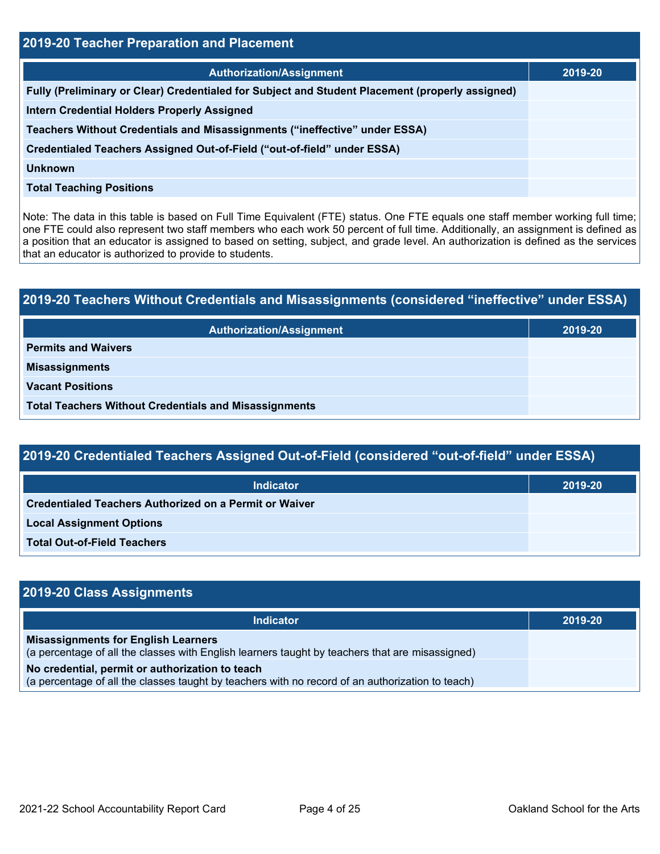| <b>2019-20 Teacher Preparation and Placement</b>                                                |         |  |  |  |
|-------------------------------------------------------------------------------------------------|---------|--|--|--|
| <b>Authorization/Assignment</b>                                                                 | 2019-20 |  |  |  |
| Fully (Preliminary or Clear) Credentialed for Subject and Student Placement (properly assigned) |         |  |  |  |
| <b>Intern Credential Holders Properly Assigned</b>                                              |         |  |  |  |
| Teachers Without Credentials and Misassignments ("ineffective" under ESSA)                      |         |  |  |  |
| Credentialed Teachers Assigned Out-of-Field ("out-of-field" under ESSA)                         |         |  |  |  |
| <b>Unknown</b>                                                                                  |         |  |  |  |
| <b>Total Teaching Positions</b>                                                                 |         |  |  |  |

Note: The data in this table is based on Full Time Equivalent (FTE) status. One FTE equals one staff member working full time; one FTE could also represent two staff members who each work 50 percent of full time. Additionally, an assignment is defined as a position that an educator is assigned to based on setting, subject, and grade level. An authorization is defined as the services that an educator is authorized to provide to students.

# **2019-20 Teachers Without Credentials and Misassignments (considered "ineffective" under ESSA) Authorization/Assignment 2019-20 Permits and Waivers Misassignments Vacant Positions Total Teachers Without Credentials and Misassignments**

| 2019-20 Credentialed Teachers Assigned Out-of-Field (considered "out-of-field" under ESSA) |  |  |  |  |
|--------------------------------------------------------------------------------------------|--|--|--|--|
| 2019-20                                                                                    |  |  |  |  |
|                                                                                            |  |  |  |  |
| <b>Local Assignment Options</b>                                                            |  |  |  |  |
|                                                                                            |  |  |  |  |

**Total Out-of-Field Teachers**

| 2019-20 Class Assignments                                                                                                                           |         |  |  |  |
|-----------------------------------------------------------------------------------------------------------------------------------------------------|---------|--|--|--|
| <b>Indicator</b>                                                                                                                                    | 2019-20 |  |  |  |
| <b>Misassignments for English Learners</b><br>(a percentage of all the classes with English learners taught by teachers that are misassigned)       |         |  |  |  |
| No credential, permit or authorization to teach<br>(a percentage of all the classes taught by teachers with no record of an authorization to teach) |         |  |  |  |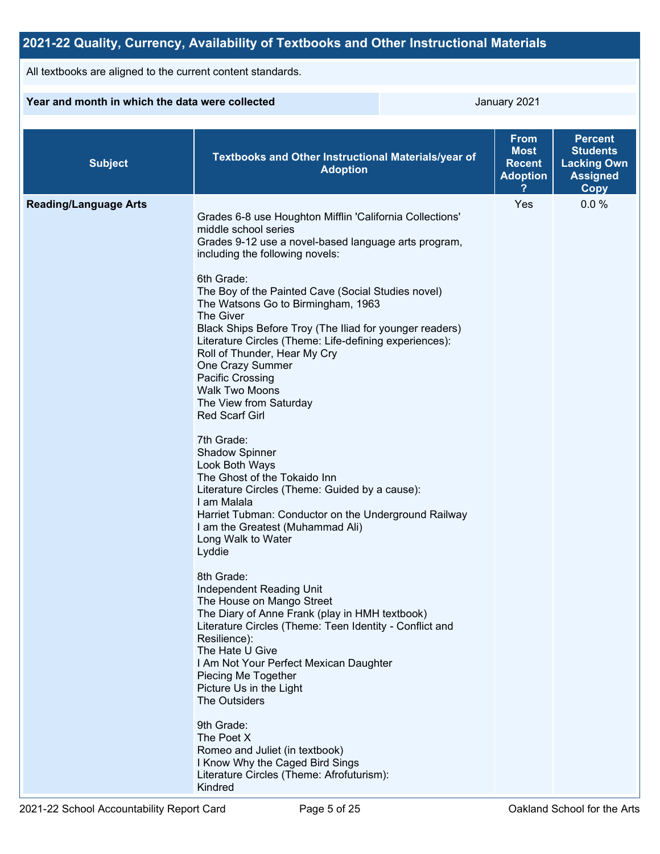#### **2021-22 Quality, Currency, Availability of Textbooks and Other Instructional Materials** All textbooks are aligned to the current content standards. **Year and month in which the data were collected Search Contract Contract Contract Contract Contract Contract Contract Contract Contract Contract Contract Contract Contract Contract Contract Contract Contract Contract Cont Subject Textbooks and Other Instructional Materials/year of Adoption From Most Recent Adoption ? Percent Students Lacking Own Assigned Copy Reading/Language Arts** Grades 6-8 use Houghton Mifflin 'California Collections' middle school series Grades 9-12 use a novel-based language arts program, including the following novels: 6th Grade: The Boy of the Painted Cave (Social Studies novel) The Watsons Go to Birmingham, 1963 The Giver Black Ships Before Troy (The Iliad for younger readers) Literature Circles (Theme: Life-defining experiences): Roll of Thunder, Hear My Cry One Crazy Summer Pacific Crossing Walk Two Moons The View from Saturday Red Scarf Girl 7th Grade: Shadow Spinner Look Both Ways The Ghost of the Tokaido Inn Literature Circles (Theme: Guided by a cause): I am Malala Harriet Tubman: Conductor on the Underground Railway I am the Greatest (Muhammad Ali) Long Walk to Water Lyddie 8th Grade: Independent Reading Unit The House on Mango Street The Diary of Anne Frank (play in HMH textbook) Literature Circles (Theme: Teen Identity - Conflict and Resilience): The Hate U Give I Am Not Your Perfect Mexican Daughter Piecing Me Together Picture Us in the Light The Outsiders 9th Grade: The Poet X Romeo and Juliet (in textbook) I Know Why the Caged Bird Sings Literature Circles (Theme: Afrofuturism): Kindred Yes 0.0 %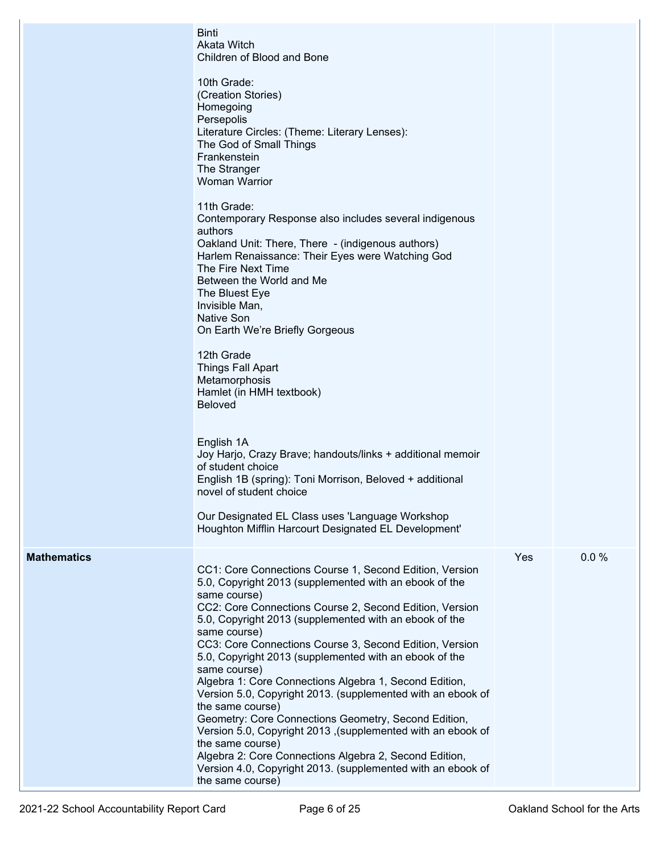|                    | <b>Binti</b><br>Akata Witch<br>Children of Blood and Bone                                                                                                                                                                                                                                                                                                                                                                                                                                                                                                                                                                                                                                                                                                     |     |      |
|--------------------|---------------------------------------------------------------------------------------------------------------------------------------------------------------------------------------------------------------------------------------------------------------------------------------------------------------------------------------------------------------------------------------------------------------------------------------------------------------------------------------------------------------------------------------------------------------------------------------------------------------------------------------------------------------------------------------------------------------------------------------------------------------|-----|------|
|                    | 10th Grade:<br>(Creation Stories)<br>Homegoing<br>Persepolis<br>Literature Circles: (Theme: Literary Lenses):<br>The God of Small Things<br>Frankenstein<br>The Stranger<br><b>Woman Warrior</b>                                                                                                                                                                                                                                                                                                                                                                                                                                                                                                                                                              |     |      |
|                    | 11th Grade:<br>Contemporary Response also includes several indigenous<br>authors<br>Oakland Unit: There, There - (indigenous authors)<br>Harlem Renaissance: Their Eyes were Watching God<br>The Fire Next Time<br>Between the World and Me<br>The Bluest Eye<br>Invisible Man,<br><b>Native Son</b><br>On Earth We're Briefly Gorgeous                                                                                                                                                                                                                                                                                                                                                                                                                       |     |      |
|                    | 12th Grade<br><b>Things Fall Apart</b><br>Metamorphosis<br>Hamlet (in HMH textbook)<br><b>Beloved</b>                                                                                                                                                                                                                                                                                                                                                                                                                                                                                                                                                                                                                                                         |     |      |
|                    | English 1A<br>Joy Harjo, Crazy Brave; handouts/links + additional memoir<br>of student choice<br>English 1B (spring): Toni Morrison, Beloved + additional<br>novel of student choice                                                                                                                                                                                                                                                                                                                                                                                                                                                                                                                                                                          |     |      |
|                    | Our Designated EL Class uses 'Language Workshop<br>Houghton Mifflin Harcourt Designated EL Development'                                                                                                                                                                                                                                                                                                                                                                                                                                                                                                                                                                                                                                                       |     |      |
| <b>Mathematics</b> | CC1: Core Connections Course 1, Second Edition, Version<br>5.0, Copyright 2013 (supplemented with an ebook of the<br>same course)<br>CC2: Core Connections Course 2, Second Edition, Version<br>5.0, Copyright 2013 (supplemented with an ebook of the<br>same course)<br>CC3: Core Connections Course 3, Second Edition, Version<br>5.0, Copyright 2013 (supplemented with an ebook of the<br>same course)<br>Algebra 1: Core Connections Algebra 1, Second Edition,<br>Version 5.0, Copyright 2013. (supplemented with an ebook of<br>the same course)<br>Geometry: Core Connections Geometry, Second Edition,<br>Version 5.0, Copyright 2013, (supplemented with an ebook of<br>the same course)<br>Algebra 2: Core Connections Algebra 2, Second Edition, | Yes | 0.0% |
|                    | Version 4.0, Copyright 2013. (supplemented with an ebook of<br>the same course)                                                                                                                                                                                                                                                                                                                                                                                                                                                                                                                                                                                                                                                                               |     |      |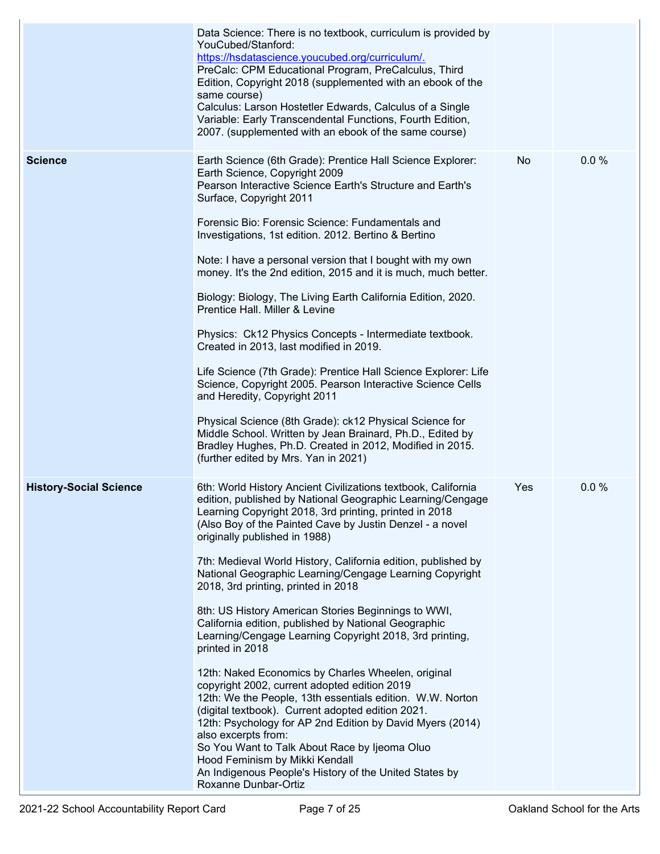|                               | Data Science: There is no textbook, curriculum is provided by<br>YouCubed/Stanford:<br>https://hsdatascience.youcubed.org/curriculum/.<br>PreCalc: CPM Educational Program, PreCalculus, Third<br>Edition, Copyright 2018 (supplemented with an ebook of the<br>same course)<br>Calculus: Larson Hostetler Edwards, Calculus of a Single<br>Variable: Early Transcendental Functions, Fourth Edition,<br>2007. (supplemented with an ebook of the same course)                                                                                                                                                                                                                                                                                                                                                                                                                                                                                                                                                                                                                                                                      |     |      |
|-------------------------------|-------------------------------------------------------------------------------------------------------------------------------------------------------------------------------------------------------------------------------------------------------------------------------------------------------------------------------------------------------------------------------------------------------------------------------------------------------------------------------------------------------------------------------------------------------------------------------------------------------------------------------------------------------------------------------------------------------------------------------------------------------------------------------------------------------------------------------------------------------------------------------------------------------------------------------------------------------------------------------------------------------------------------------------------------------------------------------------------------------------------------------------|-----|------|
| <b>Science</b>                | Earth Science (6th Grade): Prentice Hall Science Explorer:<br>Earth Science, Copyright 2009<br>Pearson Interactive Science Earth's Structure and Earth's<br>Surface, Copyright 2011<br>Forensic Bio: Forensic Science: Fundamentals and<br>Investigations, 1st edition. 2012. Bertino & Bertino<br>Note: I have a personal version that I bought with my own<br>money. It's the 2nd edition, 2015 and it is much, much better.<br>Biology: Biology, The Living Earth California Edition, 2020.<br>Prentice Hall. Miller & Levine<br>Physics: Ck12 Physics Concepts - Intermediate textbook.<br>Created in 2013, last modified in 2019.<br>Life Science (7th Grade): Prentice Hall Science Explorer: Life<br>Science, Copyright 2005. Pearson Interactive Science Cells<br>and Heredity, Copyright 2011<br>Physical Science (8th Grade): ck12 Physical Science for<br>Middle School. Written by Jean Brainard, Ph.D., Edited by<br>Bradley Hughes, Ph.D. Created in 2012, Modified in 2015.<br>(further edited by Mrs. Yan in 2021)                                                                                                  | No  | 0.0% |
| <b>History-Social Science</b> | 6th: World History Ancient Civilizations textbook, California<br>edition, published by National Geographic Learning/Cengage<br>Learning Copyright 2018, 3rd printing, printed in 2018<br>(Also Boy of the Painted Cave by Justin Denzel - a novel<br>originally published in 1988)<br>7th: Medieval World History, California edition, published by<br>National Geographic Learning/Cengage Learning Copyright<br>2018, 3rd printing, printed in 2018<br>8th: US History American Stories Beginnings to WWI,<br>California edition, published by National Geographic<br>Learning/Cengage Learning Copyright 2018, 3rd printing,<br>printed in 2018<br>12th: Naked Economics by Charles Wheelen, original<br>copyright 2002, current adopted edition 2019<br>12th: We the People, 13th essentials edition. W.W. Norton<br>(digital textbook). Current adopted edition 2021.<br>12th: Psychology for AP 2nd Edition by David Myers (2014)<br>also excerpts from:<br>So You Want to Talk About Race by Ijeoma Oluo<br>Hood Feminism by Mikki Kendall<br>An Indigenous People's History of the United States by<br>Roxanne Dunbar-Ortiz | Yes | 0.0% |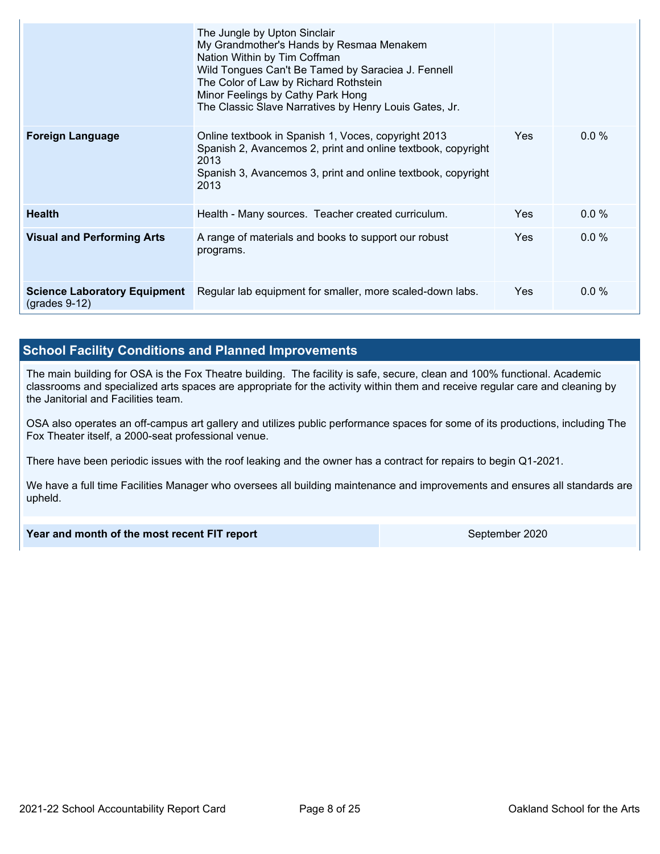|                                                            | The Jungle by Upton Sinclair<br>My Grandmother's Hands by Resmaa Menakem<br>Nation Within by Tim Coffman<br>Wild Tongues Can't Be Tamed by Saraciea J. Fennell<br>The Color of Law by Richard Rothstein<br>Minor Feelings by Cathy Park Hong<br>The Classic Slave Narratives by Henry Louis Gates, Jr. |            |         |
|------------------------------------------------------------|--------------------------------------------------------------------------------------------------------------------------------------------------------------------------------------------------------------------------------------------------------------------------------------------------------|------------|---------|
| <b>Foreign Language</b>                                    | Online textbook in Spanish 1, Voces, copyright 2013<br>Spanish 2, Avancemos 2, print and online textbook, copyright<br>2013<br>Spanish 3, Avancemos 3, print and online textbook, copyright<br>2013                                                                                                    | <b>Yes</b> | $0.0\%$ |
| <b>Health</b>                                              | Health - Many sources. Teacher created curriculum.                                                                                                                                                                                                                                                     | Yes.       | $0.0\%$ |
| <b>Visual and Performing Arts</b>                          | A range of materials and books to support our robust<br>programs.                                                                                                                                                                                                                                      | Yes        | $0.0\%$ |
| <b>Science Laboratory Equipment</b><br>$($ grades 9-12 $)$ | Regular lab equipment for smaller, more scaled-down labs.                                                                                                                                                                                                                                              | Yes.       | $0.0\%$ |

### **School Facility Conditions and Planned Improvements**

The main building for OSA is the Fox Theatre building. The facility is safe, secure, clean and 100% functional. Academic classrooms and specialized arts spaces are appropriate for the activity within them and receive regular care and cleaning by the Janitorial and Facilities team.

OSA also operates an off-campus art gallery and utilizes public performance spaces for some of its productions, including The Fox Theater itself, a 2000-seat professional venue.

There have been periodic issues with the roof leaking and the owner has a contract for repairs to begin Q1-2021.

We have a full time Facilities Manager who oversees all building maintenance and improvements and ensures all standards are upheld.

**Year and month of the most recent FIT report** September 2020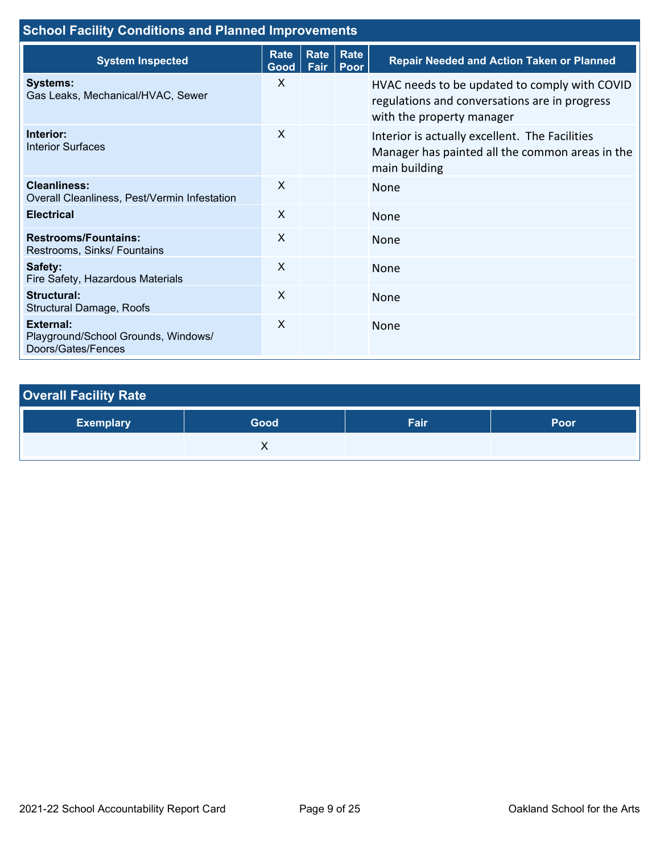| <b>School Facility Conditions and Planned Improvements</b>             |                     |              |              |                                                                                                                             |  |
|------------------------------------------------------------------------|---------------------|--------------|--------------|-----------------------------------------------------------------------------------------------------------------------------|--|
| <b>System Inspected</b>                                                | <b>Rate</b><br>Good | Rate<br>Fair | Rate<br>Poor | <b>Repair Needed and Action Taken or Planned</b>                                                                            |  |
| <b>Systems:</b><br>Gas Leaks, Mechanical/HVAC, Sewer                   | $\times$            |              |              | HVAC needs to be updated to comply with COVID<br>regulations and conversations are in progress<br>with the property manager |  |
| Interior:<br><b>Interior Surfaces</b>                                  | X                   |              |              | Interior is actually excellent. The Facilities<br>Manager has painted all the common areas in the<br>main building          |  |
| <b>Cleanliness:</b><br>Overall Cleanliness, Pest/Vermin Infestation    | $\times$            |              |              | <b>None</b>                                                                                                                 |  |
| <b>Electrical</b>                                                      | X                   |              |              | None                                                                                                                        |  |
| <b>Restrooms/Fountains:</b><br>Restrooms, Sinks/ Fountains             | X                   |              |              | None                                                                                                                        |  |
| Safety:<br>Fire Safety, Hazardous Materials                            | $\mathsf{x}$        |              |              | None                                                                                                                        |  |
| Structural:<br>Structural Damage, Roofs                                | X                   |              |              | <b>None</b>                                                                                                                 |  |
| External:<br>Playground/School Grounds, Windows/<br>Doors/Gates/Fences | X                   |              |              | <b>None</b>                                                                                                                 |  |

# **Overall Facility Rate**

| <b>Exemplary</b> | Good | Fair <sup>1</sup> | Poor |
|------------------|------|-------------------|------|
|                  |      |                   |      |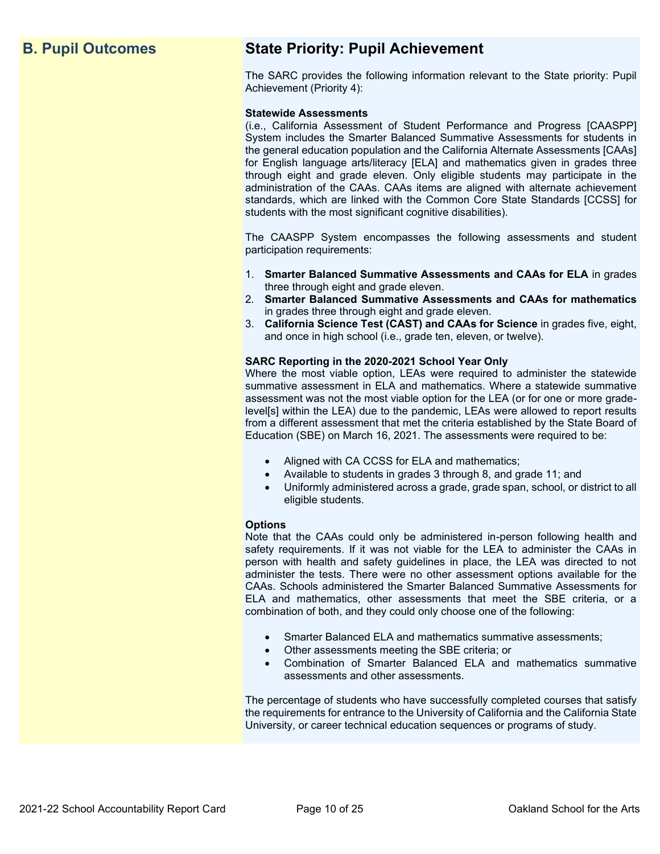## **B. Pupil Outcomes State Priority: Pupil Achievement**

The SARC provides the following information relevant to the State priority: Pupil Achievement (Priority 4):

#### **Statewide Assessments**

(i.e., California Assessment of Student Performance and Progress [CAASPP] System includes the Smarter Balanced Summative Assessments for students in the general education population and the California Alternate Assessments [CAAs] for English language arts/literacy [ELA] and mathematics given in grades three through eight and grade eleven. Only eligible students may participate in the administration of the CAAs. CAAs items are aligned with alternate achievement standards, which are linked with the Common Core State Standards [CCSS] for students with the most significant cognitive disabilities).

The CAASPP System encompasses the following assessments and student participation requirements:

- 1. **Smarter Balanced Summative Assessments and CAAs for ELA** in grades three through eight and grade eleven.
- 2. **Smarter Balanced Summative Assessments and CAAs for mathematics** in grades three through eight and grade eleven.
- 3. **California Science Test (CAST) and CAAs for Science** in grades five, eight, and once in high school (i.e., grade ten, eleven, or twelve).

#### **SARC Reporting in the 2020-2021 School Year Only**

Where the most viable option, LEAs were required to administer the statewide summative assessment in ELA and mathematics. Where a statewide summative assessment was not the most viable option for the LEA (or for one or more gradelevel[s] within the LEA) due to the pandemic, LEAs were allowed to report results from a different assessment that met the criteria established by the State Board of Education (SBE) on March 16, 2021. The assessments were required to be:

- Aligned with CA CCSS for ELA and mathematics;
- Available to students in grades 3 through 8, and grade 11; and
- Uniformly administered across a grade, grade span, school, or district to all eligible students.

#### **Options**

Note that the CAAs could only be administered in-person following health and safety requirements. If it was not viable for the LEA to administer the CAAs in person with health and safety guidelines in place, the LEA was directed to not administer the tests. There were no other assessment options available for the CAAs. Schools administered the Smarter Balanced Summative Assessments for ELA and mathematics, other assessments that meet the SBE criteria, or a combination of both, and they could only choose one of the following:

- Smarter Balanced ELA and mathematics summative assessments;
- Other assessments meeting the SBE criteria; or
- Combination of Smarter Balanced ELA and mathematics summative assessments and other assessments.

The percentage of students who have successfully completed courses that satisfy the requirements for entrance to the University of California and the California State University, or career technical education sequences or programs of study.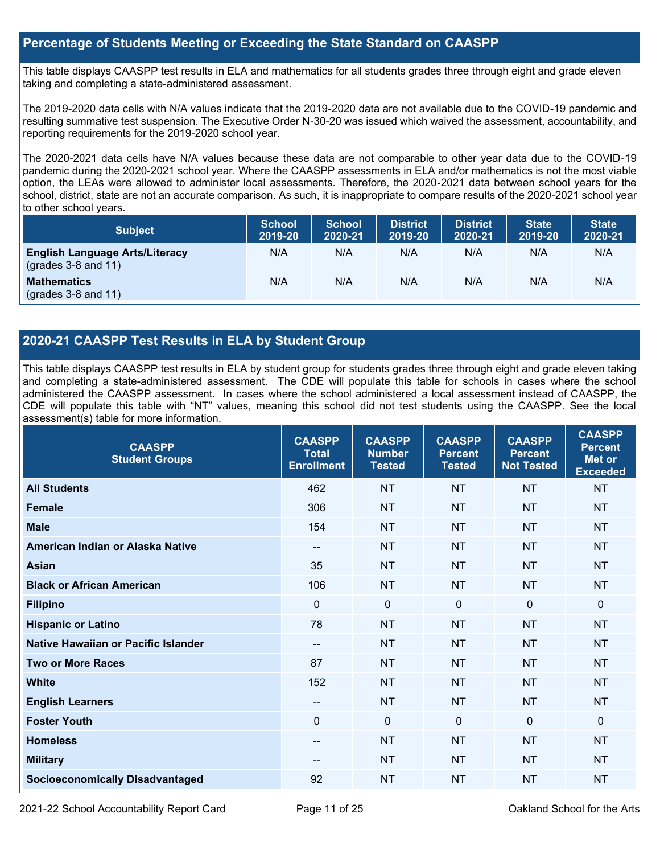#### **Percentage of Students Meeting or Exceeding the State Standard on CAASPP**

This table displays CAASPP test results in ELA and mathematics for all students grades three through eight and grade eleven taking and completing a state-administered assessment.

The 2019-2020 data cells with N/A values indicate that the 2019-2020 data are not available due to the COVID-19 pandemic and resulting summative test suspension. The Executive Order N-30-20 was issued which waived the assessment, accountability, and reporting requirements for the 2019-2020 school year.

The 2020-2021 data cells have N/A values because these data are not comparable to other year data due to the COVID-19 pandemic during the 2020-2021 school year. Where the CAASPP assessments in ELA and/or mathematics is not the most viable option, the LEAs were allowed to administer local assessments. Therefore, the 2020-2021 data between school years for the school, district, state are not an accurate comparison. As such, it is inappropriate to compare results of the 2020-2021 school year to other school years.

| <b>Subject</b>                                                       | <b>School</b><br>2019-20 | <b>School</b><br>2020-21 | <b>District</b><br>2019-20 | <b>District</b><br>2020-21 | <b>State</b><br>2019-20 | <b>State</b><br>2020-21 |
|----------------------------------------------------------------------|--------------------------|--------------------------|----------------------------|----------------------------|-------------------------|-------------------------|
| <b>English Language Arts/Literacy</b><br>$\left($ grades 3-8 and 11) | N/A                      | N/A                      | N/A                        | N/A                        | N/A                     | N/A                     |
| <b>Mathematics</b><br>$(grades 3-8 and 11)$                          | N/A                      | N/A                      | N/A                        | N/A                        | N/A                     | N/A                     |

### **2020-21 CAASPP Test Results in ELA by Student Group**

This table displays CAASPP test results in ELA by student group for students grades three through eight and grade eleven taking and completing a state-administered assessment. The CDE will populate this table for schools in cases where the school administered the CAASPP assessment. In cases where the school administered a local assessment instead of CAASPP, the CDE will populate this table with "NT" values, meaning this school did not test students using the CAASPP. See the local assessment(s) table for more information.

| <b>CAASPP</b><br><b>Student Groups</b> | <b>CAASPP</b><br><b>Total</b><br><b>Enrollment</b> | <b>CAASPP</b><br><b>Number</b><br><b>Tested</b> | <b>CAASPP</b><br><b>Percent</b><br><b>Tested</b> | <b>CAASPP</b><br><b>Percent</b><br><b>Not Tested</b> | <b>CAASPP</b><br><b>Percent</b><br>Met or<br><b>Exceeded</b> |
|----------------------------------------|----------------------------------------------------|-------------------------------------------------|--------------------------------------------------|------------------------------------------------------|--------------------------------------------------------------|
| <b>All Students</b>                    | 462                                                | <b>NT</b>                                       | <b>NT</b>                                        | <b>NT</b>                                            | <b>NT</b>                                                    |
| <b>Female</b>                          | 306                                                | <b>NT</b>                                       | <b>NT</b>                                        | <b>NT</b>                                            | <b>NT</b>                                                    |
| <b>Male</b>                            | 154                                                | <b>NT</b>                                       | <b>NT</b>                                        | <b>NT</b>                                            | <b>NT</b>                                                    |
| American Indian or Alaska Native       | $- -$                                              | <b>NT</b>                                       | <b>NT</b>                                        | <b>NT</b>                                            | <b>NT</b>                                                    |
| <b>Asian</b>                           | 35                                                 | <b>NT</b>                                       | <b>NT</b>                                        | <b>NT</b>                                            | <b>NT</b>                                                    |
| <b>Black or African American</b>       | 106                                                | <b>NT</b>                                       | <b>NT</b>                                        | <b>NT</b>                                            | <b>NT</b>                                                    |
| <b>Filipino</b>                        | $\mathbf 0$                                        | $\mathbf 0$                                     | $\mathbf 0$                                      | $\overline{0}$                                       | $\mathbf 0$                                                  |
| <b>Hispanic or Latino</b>              | 78                                                 | <b>NT</b>                                       | <b>NT</b>                                        | <b>NT</b>                                            | <b>NT</b>                                                    |
| Native Hawaiian or Pacific Islander    | --                                                 | <b>NT</b>                                       | <b>NT</b>                                        | <b>NT</b>                                            | <b>NT</b>                                                    |
| <b>Two or More Races</b>               | 87                                                 | <b>NT</b>                                       | <b>NT</b>                                        | <b>NT</b>                                            | <b>NT</b>                                                    |
| <b>White</b>                           | 152                                                | <b>NT</b>                                       | <b>NT</b>                                        | <b>NT</b>                                            | <b>NT</b>                                                    |
| <b>English Learners</b>                | --                                                 | <b>NT</b>                                       | <b>NT</b>                                        | <b>NT</b>                                            | <b>NT</b>                                                    |
| <b>Foster Youth</b>                    | $\mathbf{0}$                                       | $\mathbf 0$                                     | $\mathbf 0$                                      | $\mathbf 0$                                          | $\mathbf 0$                                                  |
| <b>Homeless</b>                        | --                                                 | <b>NT</b>                                       | <b>NT</b>                                        | <b>NT</b>                                            | <b>NT</b>                                                    |
| <b>Military</b>                        |                                                    | <b>NT</b>                                       | <b>NT</b>                                        | <b>NT</b>                                            | <b>NT</b>                                                    |
| <b>Socioeconomically Disadvantaged</b> | 92                                                 | <b>NT</b>                                       | <b>NT</b>                                        | <b>NT</b>                                            | <b>NT</b>                                                    |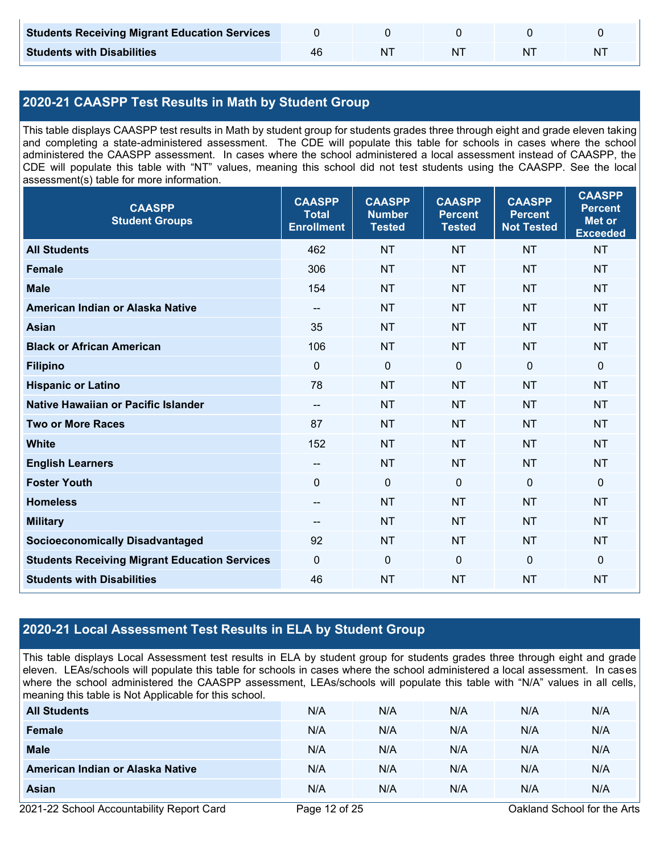| <b>Students Receiving Migrant Education Services</b> |     |  |   |
|------------------------------------------------------|-----|--|---|
| <b>Students with Disabilities</b>                    | -N7 |  | N |

## **2020-21 CAASPP Test Results in Math by Student Group**

This table displays CAASPP test results in Math by student group for students grades three through eight and grade eleven taking and completing a state-administered assessment. The CDE will populate this table for schools in cases where the school administered the CAASPP assessment. In cases where the school administered a local assessment instead of CAASPP, the CDE will populate this table with "NT" values, meaning this school did not test students using the CAASPP. See the local assessment(s) table for more information.

| <b>CAASPP</b><br><b>Student Groups</b>               | <b>CAASPP</b><br><b>Total</b><br><b>Enrollment</b> | <b>CAASPP</b><br><b>Number</b><br><b>Tested</b> | <b>CAASPP</b><br><b>Percent</b><br><b>Tested</b> | <b>CAASPP</b><br><b>Percent</b><br><b>Not Tested</b> | <b>CAASPP</b><br><b>Percent</b><br><b>Met or</b><br><b>Exceeded</b> |
|------------------------------------------------------|----------------------------------------------------|-------------------------------------------------|--------------------------------------------------|------------------------------------------------------|---------------------------------------------------------------------|
| <b>All Students</b>                                  | 462                                                | <b>NT</b>                                       | <b>NT</b>                                        | <b>NT</b>                                            | <b>NT</b>                                                           |
| Female                                               | 306                                                | <b>NT</b>                                       | <b>NT</b>                                        | <b>NT</b>                                            | <b>NT</b>                                                           |
| <b>Male</b>                                          | 154                                                | <b>NT</b>                                       | <b>NT</b>                                        | <b>NT</b>                                            | <b>NT</b>                                                           |
| American Indian or Alaska Native                     | --                                                 | <b>NT</b>                                       | <b>NT</b>                                        | <b>NT</b>                                            | <b>NT</b>                                                           |
| <b>Asian</b>                                         | 35                                                 | <b>NT</b>                                       | <b>NT</b>                                        | <b>NT</b>                                            | <b>NT</b>                                                           |
| <b>Black or African American</b>                     | 106                                                | <b>NT</b>                                       | <b>NT</b>                                        | <b>NT</b>                                            | <b>NT</b>                                                           |
| <b>Filipino</b>                                      | $\mathbf{0}$                                       | $\mathbf 0$                                     | $\mathbf{0}$                                     | $\mathbf 0$                                          | 0                                                                   |
| <b>Hispanic or Latino</b>                            | 78                                                 | <b>NT</b>                                       | <b>NT</b>                                        | <b>NT</b>                                            | <b>NT</b>                                                           |
| Native Hawaiian or Pacific Islander                  | $\overline{\phantom{a}}$                           | <b>NT</b>                                       | <b>NT</b>                                        | <b>NT</b>                                            | <b>NT</b>                                                           |
| <b>Two or More Races</b>                             | 87                                                 | <b>NT</b>                                       | <b>NT</b>                                        | <b>NT</b>                                            | <b>NT</b>                                                           |
| <b>White</b>                                         | 152                                                | <b>NT</b>                                       | <b>NT</b>                                        | <b>NT</b>                                            | NT                                                                  |
| <b>English Learners</b>                              | $-$                                                | <b>NT</b>                                       | <b>NT</b>                                        | <b>NT</b>                                            | <b>NT</b>                                                           |
| <b>Foster Youth</b>                                  | 0                                                  | $\mathbf 0$                                     | $\mathbf 0$                                      | $\mathbf 0$                                          | 0                                                                   |
| <b>Homeless</b>                                      | $\qquad \qquad -$                                  | <b>NT</b>                                       | <b>NT</b>                                        | <b>NT</b>                                            | <b>NT</b>                                                           |
| <b>Military</b>                                      | $\overline{\phantom{a}}$                           | <b>NT</b>                                       | <b>NT</b>                                        | <b>NT</b>                                            | <b>NT</b>                                                           |
| <b>Socioeconomically Disadvantaged</b>               | 92                                                 | <b>NT</b>                                       | <b>NT</b>                                        | <b>NT</b>                                            | <b>NT</b>                                                           |
| <b>Students Receiving Migrant Education Services</b> | $\mathbf 0$                                        | $\pmb{0}$                                       | $\mathbf 0$                                      | $\mathbf 0$                                          | 0                                                                   |
| <b>Students with Disabilities</b>                    | 46                                                 | <b>NT</b>                                       | <b>NT</b>                                        | <b>NT</b>                                            | <b>NT</b>                                                           |

### **2020-21 Local Assessment Test Results in ELA by Student Group**

This table displays Local Assessment test results in ELA by student group for students grades three through eight and grade eleven. LEAs/schools will populate this table for schools in cases where the school administered a local assessment. In cases where the school administered the CAASPP assessment, LEAs/schools will populate this table with "N/A" values in all cells, meaning this table is Not Applicable for this school.

| <b>All Students</b>              | N/A | N/A | N/A | N/A | N/A |
|----------------------------------|-----|-----|-----|-----|-----|
| <b>Female</b>                    | N/A | N/A | N/A | N/A | N/A |
| <b>Male</b>                      | N/A | N/A | N/A | N/A | N/A |
| American Indian or Alaska Native | N/A | N/A | N/A | N/A | N/A |
| Asian                            | N/A | N/A | N/A | N/A | N/A |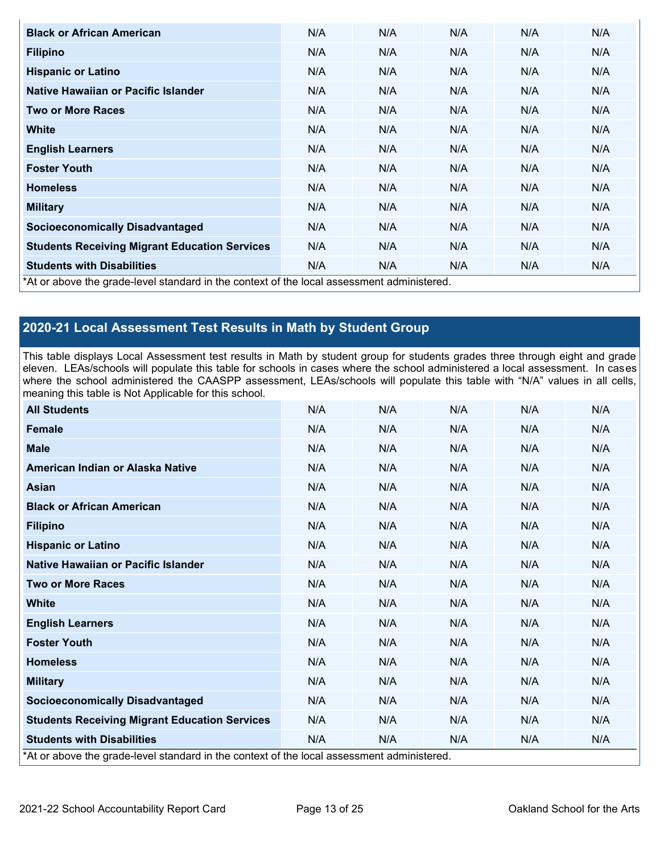| <b>Black or African American</b>                     | N/A                                                                                        | N/A | N/A | N/A | N/A |  |  |  |  |
|------------------------------------------------------|--------------------------------------------------------------------------------------------|-----|-----|-----|-----|--|--|--|--|
| <b>Filipino</b>                                      | N/A                                                                                        | N/A | N/A | N/A | N/A |  |  |  |  |
| <b>Hispanic or Latino</b>                            | N/A                                                                                        | N/A | N/A | N/A | N/A |  |  |  |  |
| Native Hawaiian or Pacific Islander                  | N/A                                                                                        | N/A | N/A | N/A | N/A |  |  |  |  |
| <b>Two or More Races</b>                             | N/A                                                                                        | N/A | N/A | N/A | N/A |  |  |  |  |
| <b>White</b>                                         | N/A                                                                                        | N/A | N/A | N/A | N/A |  |  |  |  |
| <b>English Learners</b>                              | N/A                                                                                        | N/A | N/A | N/A | N/A |  |  |  |  |
| <b>Foster Youth</b>                                  | N/A                                                                                        | N/A | N/A | N/A | N/A |  |  |  |  |
| <b>Homeless</b>                                      | N/A                                                                                        | N/A | N/A | N/A | N/A |  |  |  |  |
| <b>Military</b>                                      | N/A                                                                                        | N/A | N/A | N/A | N/A |  |  |  |  |
| <b>Socioeconomically Disadvantaged</b>               | N/A                                                                                        | N/A | N/A | N/A | N/A |  |  |  |  |
| <b>Students Receiving Migrant Education Services</b> | N/A                                                                                        | N/A | N/A | N/A | N/A |  |  |  |  |
| <b>Students with Disabilities</b>                    | N/A                                                                                        | N/A | N/A | N/A | N/A |  |  |  |  |
|                                                      | *At or above the grade-level standard in the context of the local assessment administered. |     |     |     |     |  |  |  |  |

## **2020-21 Local Assessment Test Results in Math by Student Group**

This table displays Local Assessment test results in Math by student group for students grades three through eight and grade eleven. LEAs/schools will populate this table for schools in cases where the school administered a local assessment. In cases where the school administered the CAASPP assessment, LEAs/schools will populate this table with "N/A" values in all cells, meaning this table is Not Applicable for this school.

| <b>All Students</b>                                                                        | N/A | N/A | N/A | N/A | N/A |
|--------------------------------------------------------------------------------------------|-----|-----|-----|-----|-----|
| <b>Female</b>                                                                              | N/A | N/A | N/A | N/A | N/A |
| <b>Male</b>                                                                                | N/A | N/A | N/A | N/A | N/A |
| American Indian or Alaska Native                                                           | N/A | N/A | N/A | N/A | N/A |
| <b>Asian</b>                                                                               | N/A | N/A | N/A | N/A | N/A |
| <b>Black or African American</b>                                                           | N/A | N/A | N/A | N/A | N/A |
| <b>Filipino</b>                                                                            | N/A | N/A | N/A | N/A | N/A |
| <b>Hispanic or Latino</b>                                                                  | N/A | N/A | N/A | N/A | N/A |
| Native Hawaiian or Pacific Islander                                                        | N/A | N/A | N/A | N/A | N/A |
| <b>Two or More Races</b>                                                                   | N/A | N/A | N/A | N/A | N/A |
| <b>White</b>                                                                               | N/A | N/A | N/A | N/A | N/A |
| <b>English Learners</b>                                                                    | N/A | N/A | N/A | N/A | N/A |
| <b>Foster Youth</b>                                                                        | N/A | N/A | N/A | N/A | N/A |
| <b>Homeless</b>                                                                            | N/A | N/A | N/A | N/A | N/A |
| <b>Military</b>                                                                            | N/A | N/A | N/A | N/A | N/A |
| <b>Socioeconomically Disadvantaged</b>                                                     | N/A | N/A | N/A | N/A | N/A |
| <b>Students Receiving Migrant Education Services</b>                                       | N/A | N/A | N/A | N/A | N/A |
| <b>Students with Disabilities</b>                                                          | N/A | N/A | N/A | N/A | N/A |
| *At or above the grade-level standard in the context of the local assessment administered. |     |     |     |     |     |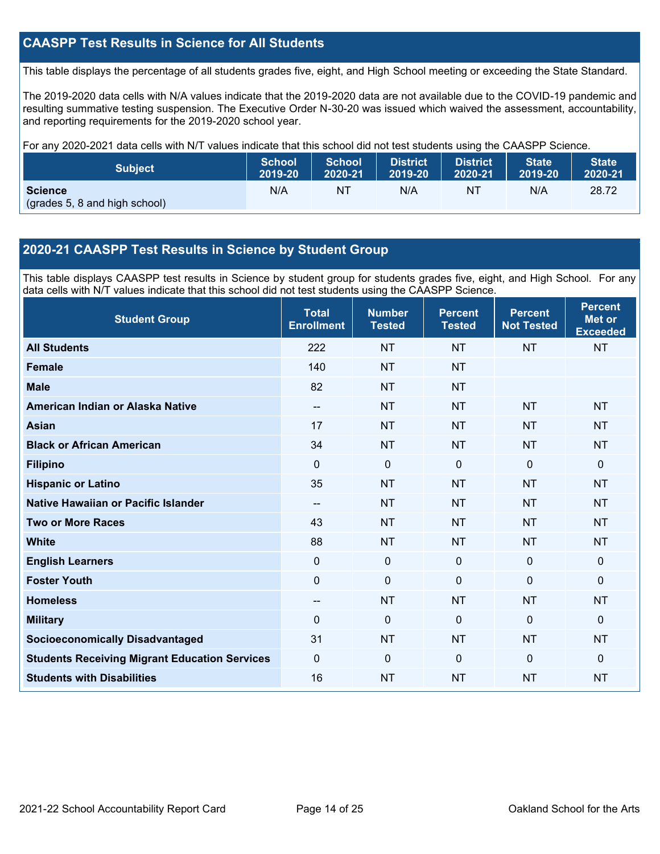### **CAASPP Test Results in Science for All Students**

This table displays the percentage of all students grades five, eight, and High School meeting or exceeding the State Standard.

The 2019-2020 data cells with N/A values indicate that the 2019-2020 data are not available due to the COVID-19 pandemic and resulting summative testing suspension. The Executive Order N-30-20 was issued which waived the assessment, accountability, and reporting requirements for the 2019-2020 school year.

For any 2020-2021 data cells with N/T values indicate that this school did not test students using the CAASPP Science.

| <b>Subject</b>                                  | <b>School</b> | <b>School</b> | <b>District</b> | District. | <b>State</b> | <b>State</b> |
|-------------------------------------------------|---------------|---------------|-----------------|-----------|--------------|--------------|
|                                                 | 2019-20       | 2020-21       | 2019-20         | 2020-21   | 2019-20      | 2020-21      |
| <b>Science</b><br>(grades 5, 8 and high school) | N/A           | NT            | N/A             | NT        | N/A          | 28.72        |

#### **2020-21 CAASPP Test Results in Science by Student Group**

This table displays CAASPP test results in Science by student group for students grades five, eight, and High School. For any data cells with N/T values indicate that this school did not test students using the CAASPP Science.

| <b>Student Group</b>                                 | <b>Total</b><br><b>Enrollment</b>     | <b>Number</b><br><b>Tested</b> | <b>Percent</b><br><b>Tested</b> | <b>Percent</b><br><b>Not Tested</b> | <b>Percent</b><br><b>Met or</b><br><b>Exceeded</b> |
|------------------------------------------------------|---------------------------------------|--------------------------------|---------------------------------|-------------------------------------|----------------------------------------------------|
| <b>All Students</b>                                  | 222                                   | <b>NT</b>                      | <b>NT</b>                       | <b>NT</b>                           | <b>NT</b>                                          |
| <b>Female</b>                                        | 140                                   | <b>NT</b>                      | <b>NT</b>                       |                                     |                                                    |
| <b>Male</b>                                          | 82                                    | <b>NT</b>                      | <b>NT</b>                       |                                     |                                                    |
| American Indian or Alaska Native                     | $\hspace{0.05cm}$ – $\hspace{0.05cm}$ | <b>NT</b>                      | <b>NT</b>                       | <b>NT</b>                           | <b>NT</b>                                          |
| <b>Asian</b>                                         | 17                                    | <b>NT</b>                      | <b>NT</b>                       | <b>NT</b>                           | <b>NT</b>                                          |
| <b>Black or African American</b>                     | 34                                    | <b>NT</b>                      | <b>NT</b>                       | <b>NT</b>                           | <b>NT</b>                                          |
| <b>Filipino</b>                                      | $\Omega$                              | 0                              | $\mathbf 0$                     | 0                                   | $\mathbf 0$                                        |
| <b>Hispanic or Latino</b>                            | 35                                    | <b>NT</b>                      | <b>NT</b>                       | <b>NT</b>                           | <b>NT</b>                                          |
| Native Hawaiian or Pacific Islander                  | --                                    | <b>NT</b>                      | <b>NT</b>                       | <b>NT</b>                           | <b>NT</b>                                          |
| <b>Two or More Races</b>                             | 43                                    | <b>NT</b>                      | <b>NT</b>                       | <b>NT</b>                           | <b>NT</b>                                          |
| <b>White</b>                                         | 88                                    | <b>NT</b>                      | <b>NT</b>                       | <b>NT</b>                           | <b>NT</b>                                          |
| <b>English Learners</b>                              | 0                                     | $\pmb{0}$                      | $\mathbf 0$                     | $\mathbf 0$                         | $\mathbf 0$                                        |
| <b>Foster Youth</b>                                  | $\mathbf 0$                           | $\pmb{0}$                      | $\mathbf 0$                     | $\mathbf 0$                         | $\mathbf 0$                                        |
| <b>Homeless</b>                                      | --                                    | <b>NT</b>                      | <b>NT</b>                       | <b>NT</b>                           | <b>NT</b>                                          |
| <b>Military</b>                                      | 0                                     | 0                              | $\mathbf 0$                     | $\Omega$                            | $\mathbf 0$                                        |
| <b>Socioeconomically Disadvantaged</b>               | 31                                    | <b>NT</b>                      | <b>NT</b>                       | <b>NT</b>                           | <b>NT</b>                                          |
| <b>Students Receiving Migrant Education Services</b> | 0                                     | 0                              | $\Omega$                        | $\Omega$                            | $\mathbf 0$                                        |
| <b>Students with Disabilities</b>                    | 16                                    | <b>NT</b>                      | <b>NT</b>                       | <b>NT</b>                           | <b>NT</b>                                          |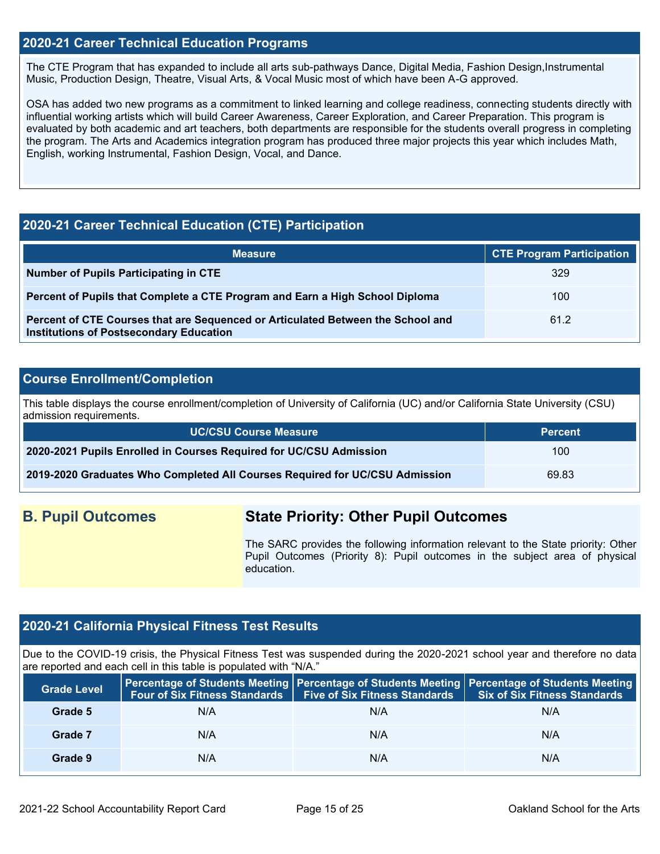#### **2020-21 Career Technical Education Programs**

The CTE Program that has expanded to include all arts sub-pathways Dance, Digital Media, Fashion Design,Instrumental Music, Production Design, Theatre, Visual Arts, & Vocal Music most of which have been A-G approved.

OSA has added two new programs as a commitment to linked learning and college readiness, connecting students directly with influential working artists which will build Career Awareness, Career Exploration, and Career Preparation. This program is evaluated by both academic and art teachers, both departments are responsible for the students overall progress in completing the program. The Arts and Academics integration program has produced three major projects this year which includes Math, English, working Instrumental, Fashion Design, Vocal, and Dance.

### **2020-21 Career Technical Education (CTE) Participation**

| <b>Measure</b>                                                                                                                    | <b>CTE Program Participation</b> |
|-----------------------------------------------------------------------------------------------------------------------------------|----------------------------------|
| Number of Pupils Participating in CTE                                                                                             | 329                              |
| Percent of Pupils that Complete a CTE Program and Earn a High School Diploma                                                      | 100                              |
| Percent of CTE Courses that are Sequenced or Articulated Between the School and<br><b>Institutions of Postsecondary Education</b> | 61.2                             |

#### **Course Enrollment/Completion**

This table displays the course enrollment/completion of University of California (UC) and/or California State University (CSU) admission requirements.

| <b>UC/CSU Course Measure</b>                                                | <b>Percent</b> |
|-----------------------------------------------------------------------------|----------------|
| 2020-2021 Pupils Enrolled in Courses Required for UC/CSU Admission          | 100            |
| 2019-2020 Graduates Who Completed All Courses Required for UC/CSU Admission | 69.83          |

## **B. Pupil Outcomes State Priority: Other Pupil Outcomes**

The SARC provides the following information relevant to the State priority: Other Pupil Outcomes (Priority 8): Pupil outcomes in the subject area of physical education.

#### **2020-21 California Physical Fitness Test Results**

Due to the COVID-19 crisis, the Physical Fitness Test was suspended during the 2020-2021 school year and therefore no data are reported and each cell in this table is populated with "N/A."

| <b>Grade Level</b> | Four of Six Fitness Standards   Five of Six Fitness Standards |     | <b>Percentage of Students Meeting   Percentage of Students Meeting   Percentage of Students Meeting  </b><br><b>Six of Six Fitness Standards</b> |
|--------------------|---------------------------------------------------------------|-----|--------------------------------------------------------------------------------------------------------------------------------------------------|
| Grade 5            | N/A                                                           | N/A | N/A                                                                                                                                              |
| Grade 7            | N/A                                                           | N/A | N/A                                                                                                                                              |
| Grade 9            | N/A                                                           | N/A | N/A                                                                                                                                              |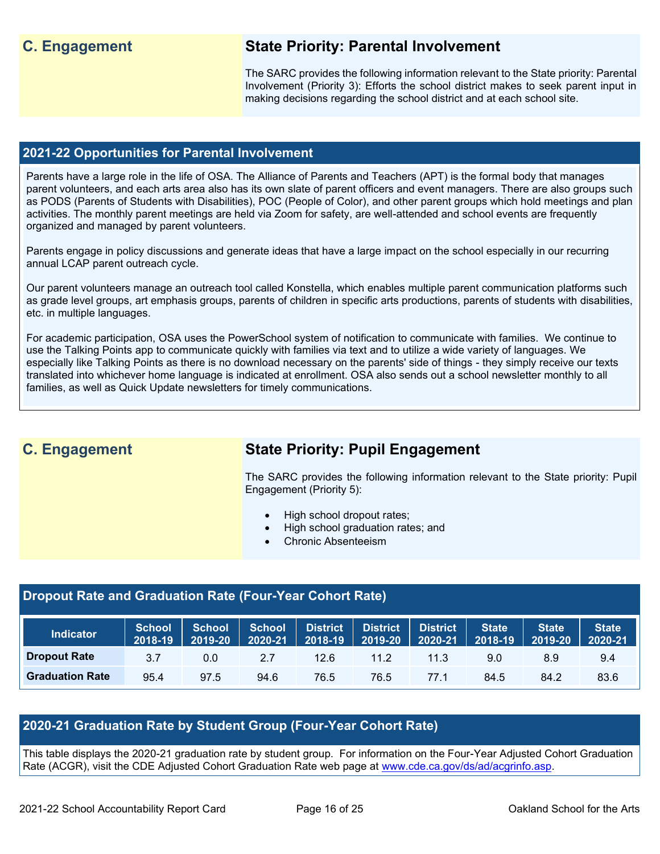## **C. Engagement State Priority: Parental Involvement**

The SARC provides the following information relevant to the State priority: Parental Involvement (Priority 3): Efforts the school district makes to seek parent input in making decisions regarding the school district and at each school site.

#### **2021-22 Opportunities for Parental Involvement**

Parents have a large role in the life of OSA. The Alliance of Parents and Teachers (APT) is the formal body that manages parent volunteers, and each arts area also has its own slate of parent officers and event managers. There are also groups such as PODS (Parents of Students with Disabilities), POC (People of Color), and other parent groups which hold meetings and plan activities. The monthly parent meetings are held via Zoom for safety, are well-attended and school events are frequently organized and managed by parent volunteers.

Parents engage in policy discussions and generate ideas that have a large impact on the school especially in our recurring annual LCAP parent outreach cycle.

Our parent volunteers manage an outreach tool called Konstella, which enables multiple parent communication platforms such as grade level groups, art emphasis groups, parents of children in specific arts productions, parents of students with disabilities, etc. in multiple languages.

For academic participation, OSA uses the PowerSchool system of notification to communicate with families. We continue to use the Talking Points app to communicate quickly with families via text and to utilize a wide variety of languages. We especially like Talking Points as there is no download necessary on the parents' side of things - they simply receive our texts translated into whichever home language is indicated at enrollment. OSA also sends out a school newsletter monthly to all families, as well as Quick Update newsletters for timely communications.

# **C. Engagement State Priority: Pupil Engagement**

The SARC provides the following information relevant to the State priority: Pupil Engagement (Priority 5):

- High school dropout rates;
- High school graduation rates; and
- Chronic Absenteeism

#### **Dropout Rate and Graduation Rate (Four-Year Cohort Rate)**

| <b>Indicator</b>       | <b>School</b><br>2018-19 | School <sup>1</sup><br>2019-20 | <b>School</b><br>2020-21 | <b>District</b><br>2018-19 | <b>District</b><br>2019-20 | <b>District</b><br>2020-21 | State<br>2018-19 | <b>State</b><br>2019-20 | <b>State</b><br>2020-21 |
|------------------------|--------------------------|--------------------------------|--------------------------|----------------------------|----------------------------|----------------------------|------------------|-------------------------|-------------------------|
| <b>Dropout Rate</b>    | 3.7                      | 0.0                            | 2.7                      | 12.6                       | 11.2                       | 11.3                       | 9.0              | 8.9                     | 9.4                     |
| <b>Graduation Rate</b> | 95.4                     | 97.5                           | 94.6                     | 76.5                       | 76.5                       | 77.1                       | 84.5             | 84.2                    | 83.6                    |

#### **2020-21 Graduation Rate by Student Group (Four-Year Cohort Rate)**

This table displays the 2020-21 graduation rate by student group. For information on the Four-Year Adjusted Cohort Graduation Rate (ACGR), visit the CDE Adjusted Cohort Graduation Rate web page at [www.cde.ca.gov/ds/ad/acgrinfo.asp.](http://www.cde.ca.gov/ds/ad/acgrinfo.asp)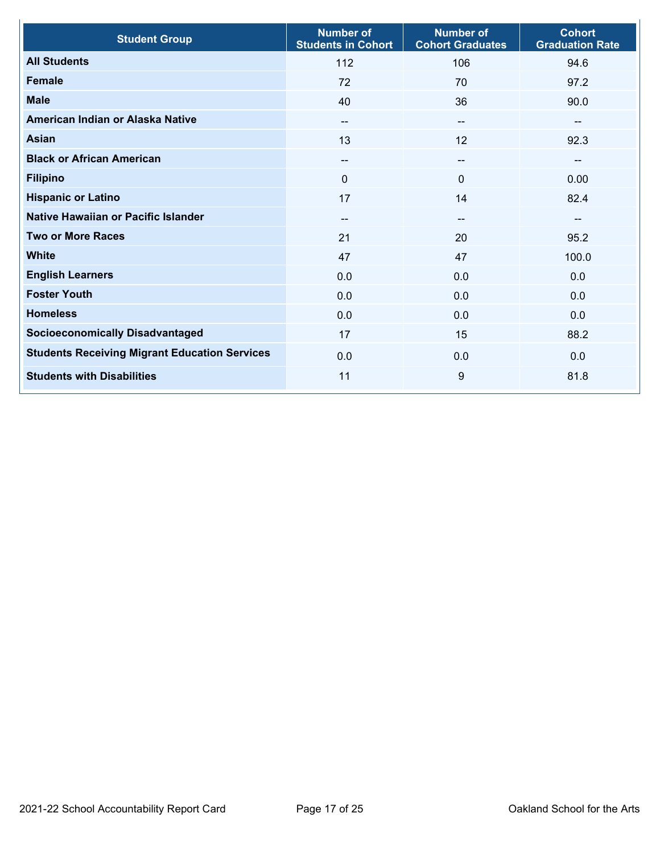| <b>Student Group</b>                                 | <b>Number of</b><br><b>Students in Cohort</b> | <b>Number of</b><br><b>Cohort Graduates</b> | <b>Cohort</b><br><b>Graduation Rate</b> |
|------------------------------------------------------|-----------------------------------------------|---------------------------------------------|-----------------------------------------|
| <b>All Students</b>                                  | 112                                           | 106                                         | 94.6                                    |
| <b>Female</b>                                        | 72                                            | 70                                          | 97.2                                    |
| <b>Male</b>                                          | 40                                            | 36                                          | 90.0                                    |
| American Indian or Alaska Native                     | --                                            | $\sim$                                      | $-$                                     |
| <b>Asian</b>                                         | 13                                            | 12                                          | 92.3                                    |
| <b>Black or African American</b>                     | $\qquad \qquad -$                             | $\sim$                                      | $-$                                     |
| <b>Filipino</b>                                      | $\Omega$                                      | $\mathbf 0$                                 | 0.00                                    |
| <b>Hispanic or Latino</b>                            | 17                                            | 14                                          | 82.4                                    |
| <b>Native Hawaiian or Pacific Islander</b>           |                                               | --                                          | --                                      |
| <b>Two or More Races</b>                             | 21                                            | 20                                          | 95.2                                    |
| <b>White</b>                                         | 47                                            | 47                                          | 100.0                                   |
| <b>English Learners</b>                              | 0.0                                           | 0.0                                         | 0.0                                     |
| <b>Foster Youth</b>                                  | 0.0                                           | 0.0                                         | 0.0                                     |
| <b>Homeless</b>                                      | 0.0                                           | 0.0                                         | 0.0                                     |
| <b>Socioeconomically Disadvantaged</b>               | 17                                            | 15                                          | 88.2                                    |
| <b>Students Receiving Migrant Education Services</b> | 0.0                                           | 0.0                                         | 0.0                                     |
| <b>Students with Disabilities</b>                    | 11                                            | 9                                           | 81.8                                    |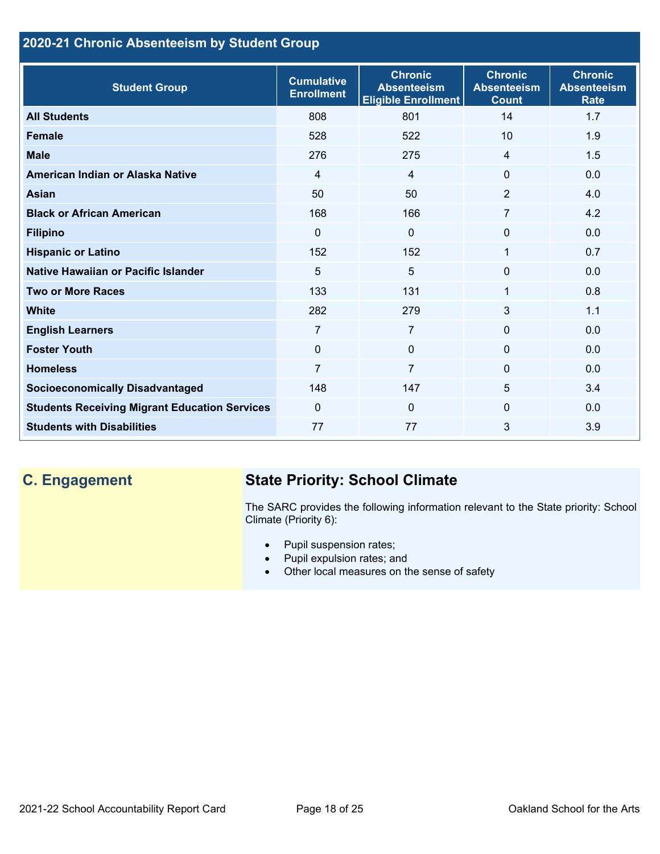## **2020-21 Chronic Absenteeism by Student Group**

| <b>Student Group</b>                                 | <b>Cumulative</b><br><b>Enrollment</b> | <b>Chronic</b><br><b>Absenteeism</b><br><b>Eligible Enrollment</b> | <b>Chronic</b><br><b>Absenteeism</b><br><b>Count</b> | <b>Chronic</b><br><b>Absenteeism</b><br><b>Rate</b> |
|------------------------------------------------------|----------------------------------------|--------------------------------------------------------------------|------------------------------------------------------|-----------------------------------------------------|
| <b>All Students</b>                                  | 808                                    | 801                                                                | 14                                                   | 1.7                                                 |
| <b>Female</b>                                        | 528                                    | 522                                                                | 10                                                   | 1.9                                                 |
| <b>Male</b>                                          | 276                                    | 275                                                                | $\overline{4}$                                       | 1.5                                                 |
| American Indian or Alaska Native                     | $\overline{4}$                         | $\overline{4}$                                                     | $\Omega$                                             | 0.0                                                 |
| <b>Asian</b>                                         | 50                                     | 50                                                                 | 2                                                    | 4.0                                                 |
| <b>Black or African American</b>                     | 168                                    | 166                                                                | $\overline{7}$                                       | 4.2                                                 |
| <b>Filipino</b>                                      | $\Omega$                               | $\Omega$                                                           | $\mathbf{0}$                                         | 0.0                                                 |
| <b>Hispanic or Latino</b>                            | 152                                    | 152                                                                | 1                                                    | 0.7                                                 |
| Native Hawaiian or Pacific Islander                  | 5                                      | 5                                                                  | $\mathbf 0$                                          | 0.0                                                 |
| <b>Two or More Races</b>                             | 133                                    | 131                                                                | 1                                                    | 0.8                                                 |
| <b>White</b>                                         | 282                                    | 279                                                                | 3                                                    | 1.1                                                 |
| <b>English Learners</b>                              | 7                                      | $\overline{7}$                                                     | $\mathbf{0}$                                         | 0.0                                                 |
| <b>Foster Youth</b>                                  | $\Omega$                               | $\Omega$                                                           | $\Omega$                                             | 0.0                                                 |
| <b>Homeless</b>                                      | 7                                      | $\overline{7}$                                                     | 0                                                    | 0.0                                                 |
| <b>Socioeconomically Disadvantaged</b>               | 148                                    | 147                                                                | 5                                                    | 3.4                                                 |
| <b>Students Receiving Migrant Education Services</b> | $\Omega$                               | $\Omega$                                                           | $\Omega$                                             | 0.0                                                 |
| <b>Students with Disabilities</b>                    | 77                                     | 77                                                                 | 3                                                    | 3.9                                                 |

# **C. Engagement State Priority: School Climate**

The SARC provides the following information relevant to the State priority: School Climate (Priority 6):

- Pupil suspension rates;
- Pupil expulsion rates; and
- Other local measures on the sense of safety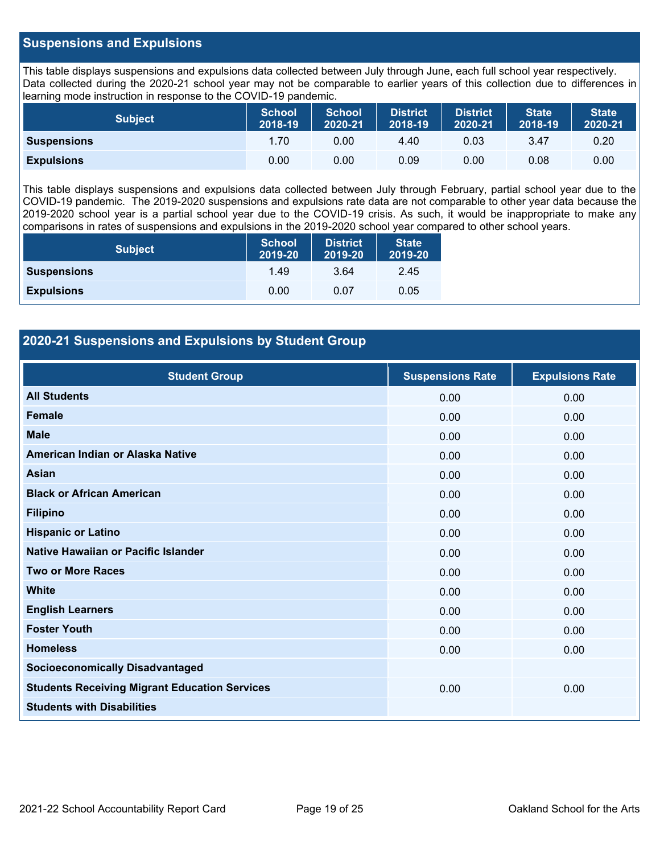#### **Suspensions and Expulsions**

This table displays suspensions and expulsions data collected between July through June, each full school year respectively. Data collected during the 2020-21 school year may not be comparable to earlier years of this collection due to differences in learning mode instruction in response to the COVID-19 pandemic.

| <b>Subject</b>     | <b>School</b><br>2018-19 | <b>School</b><br>2020-21 | <b>District</b><br>2018-19 | <b>District</b><br>2020-21 | <b>State</b><br>2018-19 | <b>State</b><br>2020-21 |
|--------------------|--------------------------|--------------------------|----------------------------|----------------------------|-------------------------|-------------------------|
| <b>Suspensions</b> | 1.70                     | 0.00                     | 4.40                       | 0.03                       | 3.47                    | 0.20                    |
| <b>Expulsions</b>  | 0.00                     | 0.00                     | 0.09                       | 0.00                       | 0.08                    | 0.00                    |

This table displays suspensions and expulsions data collected between July through February, partial school year due to the COVID-19 pandemic. The 2019-2020 suspensions and expulsions rate data are not comparable to other year data because the 2019-2020 school year is a partial school year due to the COVID-19 crisis. As such, it would be inappropriate to make any comparisons in rates of suspensions and expulsions in the 2019-2020 school year compared to other school years.

| <b>Subject</b>     | School<br>2019-20 | <b>District</b><br>2019-20 | <b>State</b><br>2019-20 |
|--------------------|-------------------|----------------------------|-------------------------|
| <b>Suspensions</b> | 1.49              | 3.64                       | 2.45                    |
| <b>Expulsions</b>  | 0.00              | 0.07                       | 0.05                    |

#### **2020-21 Suspensions and Expulsions by Student Group**

| <b>Student Group</b>                                 | <b>Suspensions Rate</b> | <b>Expulsions Rate</b> |
|------------------------------------------------------|-------------------------|------------------------|
| <b>All Students</b>                                  | 0.00                    | 0.00                   |
| Female                                               | 0.00                    | 0.00                   |
| <b>Male</b>                                          | 0.00                    | 0.00                   |
| American Indian or Alaska Native                     | 0.00                    | 0.00                   |
| <b>Asian</b>                                         | 0.00                    | 0.00                   |
| <b>Black or African American</b>                     | 0.00                    | 0.00                   |
| <b>Filipino</b>                                      | 0.00                    | 0.00                   |
| <b>Hispanic or Latino</b>                            | 0.00                    | 0.00                   |
| Native Hawaiian or Pacific Islander                  | 0.00                    | 0.00                   |
| <b>Two or More Races</b>                             | 0.00                    | 0.00                   |
| <b>White</b>                                         | 0.00                    | 0.00                   |
| <b>English Learners</b>                              | 0.00                    | 0.00                   |
| <b>Foster Youth</b>                                  | 0.00                    | 0.00                   |
| <b>Homeless</b>                                      | 0.00                    | 0.00                   |
| <b>Socioeconomically Disadvantaged</b>               |                         |                        |
| <b>Students Receiving Migrant Education Services</b> | 0.00                    | 0.00                   |
| <b>Students with Disabilities</b>                    |                         |                        |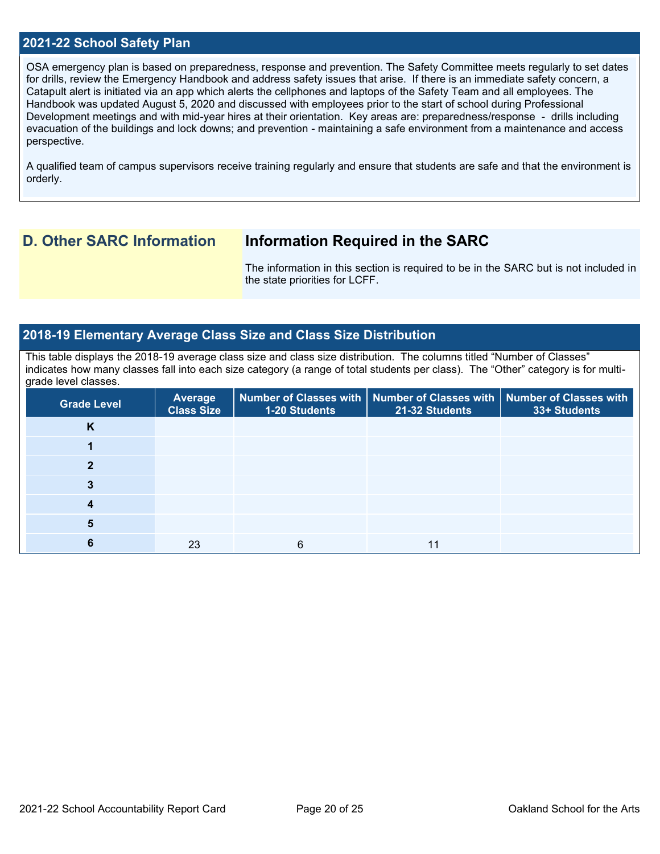#### **2021-22 School Safety Plan**

OSA emergency plan is based on preparedness, response and prevention. The Safety Committee meets regularly to set dates for drills, review the Emergency Handbook and address safety issues that arise. If there is an immediate safety concern, a Catapult alert is initiated via an app which alerts the cellphones and laptops of the Safety Team and all employees. The Handbook was updated August 5, 2020 and discussed with employees prior to the start of school during Professional Development meetings and with mid-year hires at their orientation. Key areas are: preparedness/response - drills including evacuation of the buildings and lock downs; and prevention - maintaining a safe environment from a maintenance and access perspective.

A qualified team of campus supervisors receive training regularly and ensure that students are safe and that the environment is orderly.

### **D. Other SARC Information Information Required in the SARC**

The information in this section is required to be in the SARC but is not included in the state priorities for LCFF.

#### **2018-19 Elementary Average Class Size and Class Size Distribution**

This table displays the 2018-19 average class size and class size distribution. The columns titled "Number of Classes" indicates how many classes fall into each size category (a range of total students per class). The "Other" category is for multigrade level classes.

| <b>Grade Level</b> | Average<br><b>Class Size</b> | 1-20 Students | Number of Classes with   Number of Classes with   Number of Classes with<br>21-32 Students | 33+ Students |
|--------------------|------------------------------|---------------|--------------------------------------------------------------------------------------------|--------------|
| K                  |                              |               |                                                                                            |              |
|                    |                              |               |                                                                                            |              |
|                    |                              |               |                                                                                            |              |
|                    |                              |               |                                                                                            |              |
|                    |                              |               |                                                                                            |              |
|                    |                              |               |                                                                                            |              |
|                    | 23                           | 6             |                                                                                            |              |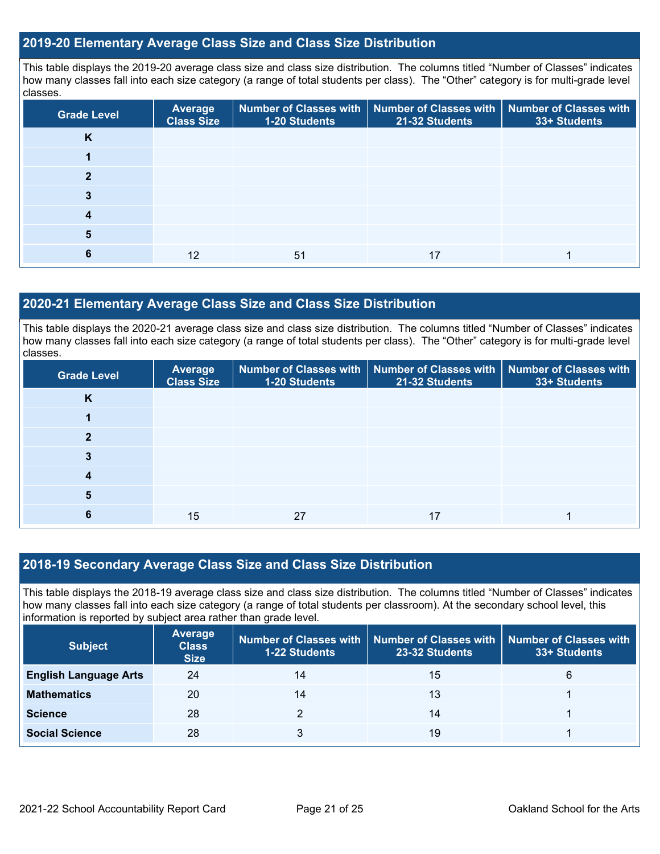#### **2019-20 Elementary Average Class Size and Class Size Distribution**

This table displays the 2019-20 average class size and class size distribution. The columns titled "Number of Classes" indicates how many classes fall into each size category (a range of total students per class). The "Other" category is for multi-grade level classes.

| <b>Grade Level</b> | <b>Average</b><br><b>Class Size</b> | 1-20 Students | Number of Classes with   Number of Classes with<br>21-32 Students | Number of Classes with<br>33+ Students |
|--------------------|-------------------------------------|---------------|-------------------------------------------------------------------|----------------------------------------|
| K                  |                                     |               |                                                                   |                                        |
|                    |                                     |               |                                                                   |                                        |
| っ                  |                                     |               |                                                                   |                                        |
|                    |                                     |               |                                                                   |                                        |
| 4                  |                                     |               |                                                                   |                                        |
| 5                  |                                     |               |                                                                   |                                        |
|                    | 12                                  | 51            | 17                                                                |                                        |

#### **2020-21 Elementary Average Class Size and Class Size Distribution**

This table displays the 2020-21 average class size and class size distribution. The columns titled "Number of Classes" indicates how many classes fall into each size category (a range of total students per class). The "Other" category is for multi-grade level classes.

| <b>Grade Level</b> | Average<br><b>Class Size</b> | <b>1-20 Students</b> | Number of Classes with   Number of Classes with   Number of Classes with<br>21-32 Students | 33+ Students |
|--------------------|------------------------------|----------------------|--------------------------------------------------------------------------------------------|--------------|
| K                  |                              |                      |                                                                                            |              |
|                    |                              |                      |                                                                                            |              |
|                    |                              |                      |                                                                                            |              |
| 3                  |                              |                      |                                                                                            |              |
| 4                  |                              |                      |                                                                                            |              |
| 5                  |                              |                      |                                                                                            |              |
|                    | 15                           | 27                   | 17                                                                                         |              |

#### **2018-19 Secondary Average Class Size and Class Size Distribution**

This table displays the 2018-19 average class size and class size distribution. The columns titled "Number of Classes" indicates how many classes fall into each size category (a range of total students per classroom). At the secondary school level, this information is reported by subject area rather than grade level.

| <b>Subject</b>               | <b>Average</b><br><b>Class</b><br><b>Size</b> | <b>1-22 Students</b> | Number of Classes with   Number of Classes with  <br>23-32 Students | <b>Number of Classes with</b><br>33+ Students |
|------------------------------|-----------------------------------------------|----------------------|---------------------------------------------------------------------|-----------------------------------------------|
| <b>English Language Arts</b> | 24                                            | 14                   | 15                                                                  | 6                                             |
| <b>Mathematics</b>           | 20                                            | 14                   | 13                                                                  |                                               |
| <b>Science</b>               | 28                                            |                      | 14                                                                  |                                               |
| <b>Social Science</b>        | 28                                            |                      | 19                                                                  |                                               |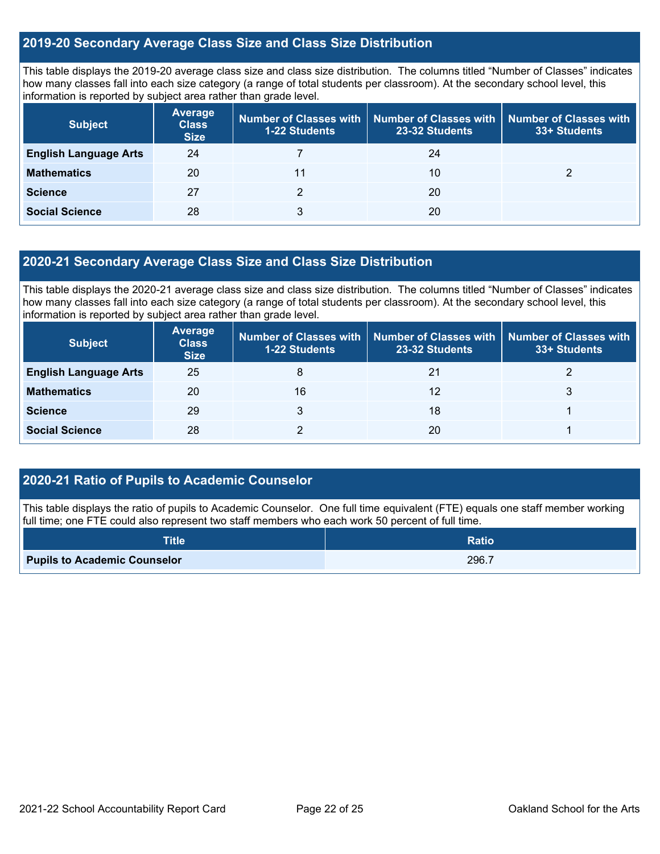#### **2019-20 Secondary Average Class Size and Class Size Distribution**

This table displays the 2019-20 average class size and class size distribution. The columns titled "Number of Classes" indicates how many classes fall into each size category (a range of total students per classroom). At the secondary school level, this information is reported by subject area rather than grade level.

| <b>Subject</b>               | <b>Average</b><br><b>Class</b><br><b>Size</b> | Number of Classes with<br><b>1-22 Students</b> | <b>Number of Classes with</b><br>23-32 Students | <b>Number of Classes with</b><br>33+ Students |
|------------------------------|-----------------------------------------------|------------------------------------------------|-------------------------------------------------|-----------------------------------------------|
| <b>English Language Arts</b> | 24                                            |                                                | 24                                              |                                               |
| <b>Mathematics</b>           | 20                                            |                                                | 10                                              |                                               |
| <b>Science</b>               | 27                                            |                                                | 20                                              |                                               |
| <b>Social Science</b>        | 28                                            | 3                                              | 20                                              |                                               |

#### **2020-21 Secondary Average Class Size and Class Size Distribution**

This table displays the 2020-21 average class size and class size distribution. The columns titled "Number of Classes" indicates how many classes fall into each size category (a range of total students per classroom). At the secondary school level, this information is reported by subject area rather than grade level.

| <b>Subject</b>               | <b>Average</b><br><b>Class</b><br><b>Size</b> | <b>Number of Classes with</b><br><b>1-22 Students</b> | Number of Classes with   Number of Classes with<br>23-32 Students | 33+ Students |
|------------------------------|-----------------------------------------------|-------------------------------------------------------|-------------------------------------------------------------------|--------------|
| <b>English Language Arts</b> | 25                                            | 8                                                     | 21                                                                |              |
| <b>Mathematics</b>           | 20                                            | 16                                                    | 12                                                                |              |
| <b>Science</b>               | 29                                            |                                                       | 18                                                                |              |
| <b>Social Science</b>        | 28                                            |                                                       | 20                                                                |              |

#### **2020-21 Ratio of Pupils to Academic Counselor**

This table displays the ratio of pupils to Academic Counselor. One full time equivalent (FTE) equals one staff member working full time; one FTE could also represent two staff members who each work 50 percent of full time.

| <b>Title</b>                        | <b>Ratio</b> |
|-------------------------------------|--------------|
| <b>Pupils to Academic Counselor</b> | 296.7        |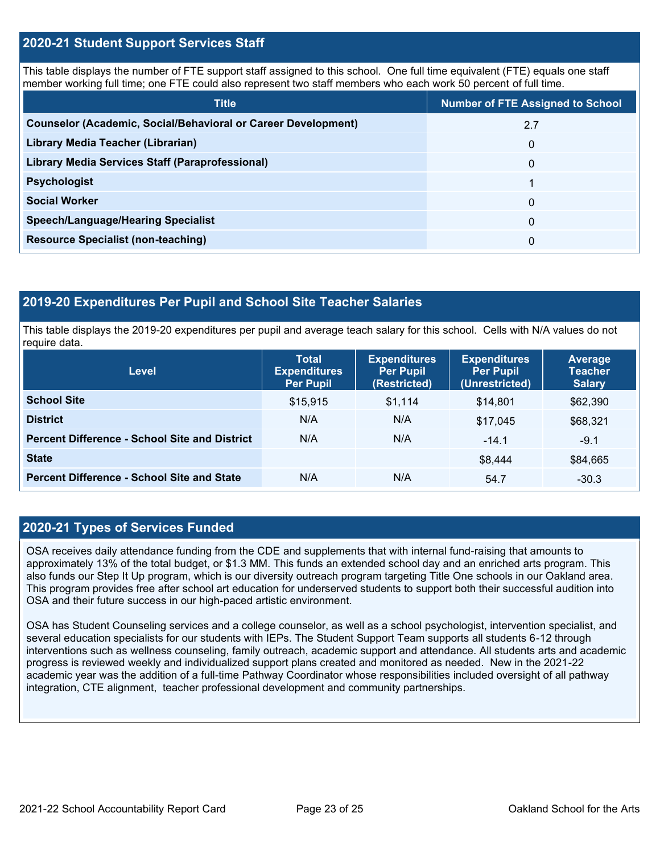#### **2020-21 Student Support Services Staff**

This table displays the number of FTE support staff assigned to this school. One full time equivalent (FTE) equals one staff member working full time; one FTE could also represent two staff members who each work 50 percent of full time.

| <b>Title</b>                                                         | <b>Number of FTE Assigned to School</b> |  |
|----------------------------------------------------------------------|-----------------------------------------|--|
| <b>Counselor (Academic, Social/Behavioral or Career Development)</b> | 2.7                                     |  |
| Library Media Teacher (Librarian)                                    | 0                                       |  |
| Library Media Services Staff (Paraprofessional)                      | 0                                       |  |
| <b>Psychologist</b>                                                  |                                         |  |
| <b>Social Worker</b>                                                 | $\Omega$                                |  |
| <b>Speech/Language/Hearing Specialist</b>                            | $\Omega$                                |  |
| <b>Resource Specialist (non-teaching)</b>                            | 0                                       |  |

#### **2019-20 Expenditures Per Pupil and School Site Teacher Salaries**

This table displays the 2019-20 expenditures per pupil and average teach salary for this school. Cells with N/A values do not require data.

| Level                                                | <b>Total</b><br><b>Expenditures</b><br><b>Per Pupil</b> | <b>Expenditures</b><br><b>Per Pupil</b><br>(Restricted) | <b>Expenditures</b><br><b>Per Pupil</b><br>(Unrestricted) | <b>Average</b><br><b>Teacher</b><br><b>Salary</b> |
|------------------------------------------------------|---------------------------------------------------------|---------------------------------------------------------|-----------------------------------------------------------|---------------------------------------------------|
| <b>School Site</b>                                   | \$15,915                                                | \$1,114                                                 | \$14.801                                                  | \$62,390                                          |
| <b>District</b>                                      | N/A                                                     | N/A                                                     | \$17.045                                                  | \$68,321                                          |
| <b>Percent Difference - School Site and District</b> | N/A                                                     | N/A                                                     | $-14.1$                                                   | $-9.1$                                            |
| <b>State</b>                                         |                                                         |                                                         | \$8,444                                                   | \$84,665                                          |
| <b>Percent Difference - School Site and State</b>    | N/A                                                     | N/A                                                     | 54.7                                                      | $-30.3$                                           |

#### **2020-21 Types of Services Funded**

OSA receives daily attendance funding from the CDE and supplements that with internal fund-raising that amounts to approximately 13% of the total budget, or \$1.3 MM. This funds an extended school day and an enriched arts program. This also funds our Step It Up program, which is our diversity outreach program targeting Title One schools in our Oakland area. This program provides free after school art education for underserved students to support both their successful audition into OSA and their future success in our high-paced artistic environment.

OSA has Student Counseling services and a college counselor, as well as a school psychologist, intervention specialist, and several education specialists for our students with IEPs. The Student Support Team supports all students 6-12 through interventions such as wellness counseling, family outreach, academic support and attendance. All students arts and academic progress is reviewed weekly and individualized support plans created and monitored as needed. New in the 2021-22 academic year was the addition of a full-time Pathway Coordinator whose responsibilities included oversight of all pathway integration, CTE alignment, teacher professional development and community partnerships.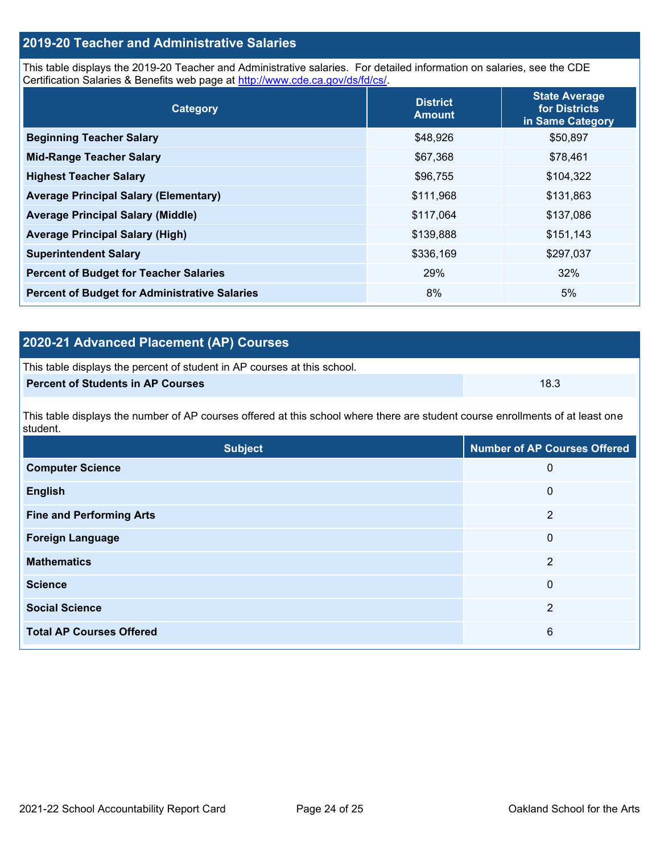## **2019-20 Teacher and Administrative Salaries**

This table displays the 2019-20 Teacher and Administrative salaries. For detailed information on salaries, see the CDE Certification Salaries & Benefits web page at [http://www.cde.ca.gov/ds/fd/cs/.](http://www.cde.ca.gov/ds/fd/cs/)

| Category                                             | <b>District</b><br><b>Amount</b> | <b>State Average</b><br>for Districts<br>in Same Category |
|------------------------------------------------------|----------------------------------|-----------------------------------------------------------|
| <b>Beginning Teacher Salary</b>                      | \$48,926                         | \$50,897                                                  |
| <b>Mid-Range Teacher Salary</b>                      | \$67,368                         | \$78,461                                                  |
| <b>Highest Teacher Salary</b>                        | \$96,755                         | \$104,322                                                 |
| <b>Average Principal Salary (Elementary)</b>         | \$111,968                        | \$131,863                                                 |
| <b>Average Principal Salary (Middle)</b>             | \$117,064                        | \$137,086                                                 |
| <b>Average Principal Salary (High)</b>               | \$139,888                        | \$151,143                                                 |
| <b>Superintendent Salary</b>                         | \$336,169                        | \$297,037                                                 |
| <b>Percent of Budget for Teacher Salaries</b>        | 29%                              | 32%                                                       |
| <b>Percent of Budget for Administrative Salaries</b> | 8%                               | 5%                                                        |

## **2020-21 Advanced Placement (AP) Courses**

| This table displays the percent of student in AP courses at this school. |      |
|--------------------------------------------------------------------------|------|
| Percent of Students in AP Courses                                        | 18.3 |

This table displays the number of AP courses offered at this school where there are student course enrollments of at least one student.

| <b>Subject</b>                  | <b>Number of AP Courses Offered</b> |
|---------------------------------|-------------------------------------|
| <b>Computer Science</b>         | 0                                   |
| <b>English</b>                  | $\mathbf 0$                         |
| <b>Fine and Performing Arts</b> | 2                                   |
| <b>Foreign Language</b>         | 0                                   |
| <b>Mathematics</b>              | $\overline{2}$                      |
| <b>Science</b>                  | $\mathbf 0$                         |
| <b>Social Science</b>           | 2                                   |
| <b>Total AP Courses Offered</b> | 6                                   |